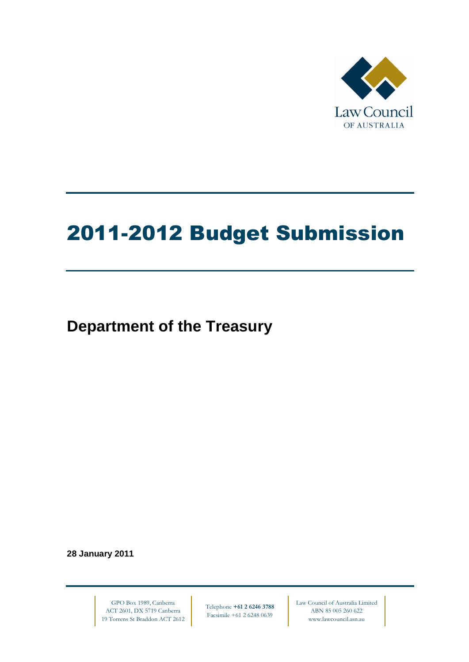

# 2011-2012 Budget Submission

**Department of the Treasury**

**28 January 2011**

GPO Box 1989, Canberra ACT 2601, DX 5719 Canberra 19 Torrens St Braddon ACT 2612

Telephone **+61 2 6246 3788** Facsimile +61 2 6248 0639

Law Council of Australia Limited ABN 85 005 260 622 www.lawcouncil.asn.au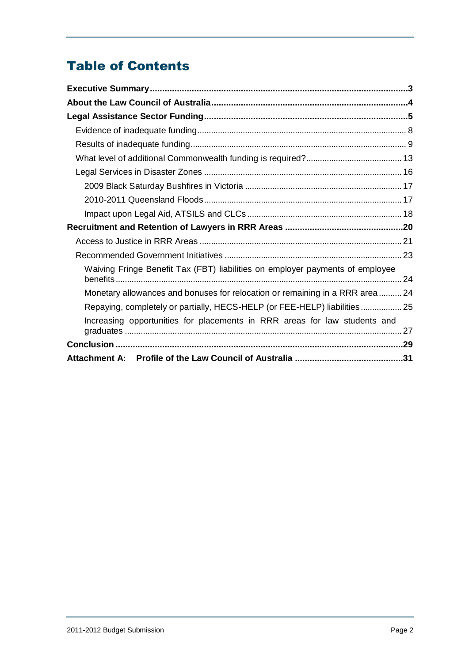# Table of Contents

| Waiving Fringe Benefit Tax (FBT) liabilities on employer payments of employee |  |
|-------------------------------------------------------------------------------|--|
| Monetary allowances and bonuses for relocation or remaining in a RRR area 24  |  |
| Repaying, completely or partially, HECS-HELP (or FEE-HELP) liabilities 25     |  |
| Increasing opportunities for placements in RRR areas for law students and     |  |
|                                                                               |  |
|                                                                               |  |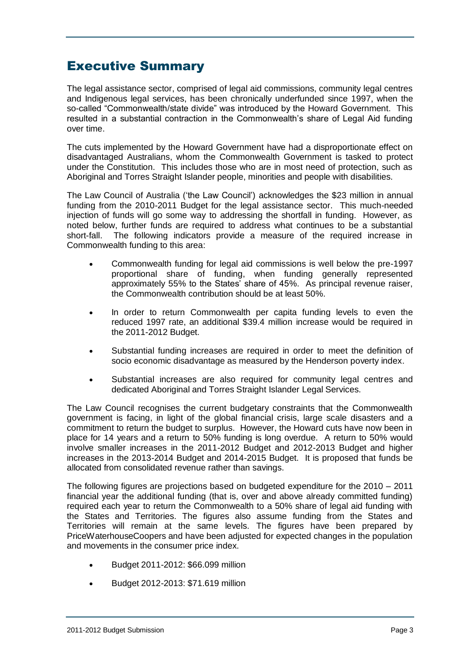# <span id="page-2-0"></span>Executive Summary

The legal assistance sector, comprised of legal aid commissions, community legal centres and Indigenous legal services, has been chronically underfunded since 1997, when the so-called "Commonwealth/state divide" was introduced by the Howard Government. This resulted in a substantial contraction in the Commonwealth's share of Legal Aid funding over time.

The cuts implemented by the Howard Government have had a disproportionate effect on disadvantaged Australians, whom the Commonwealth Government is tasked to protect under the Constitution. This includes those who are in most need of protection, such as Aboriginal and Torres Straight Islander people, minorities and people with disabilities.

The Law Council of Australia ("the Law Council") acknowledges the \$23 million in annual funding from the 2010-2011 Budget for the legal assistance sector. This much-needed injection of funds will go some way to addressing the shortfall in funding. However, as noted below, further funds are required to address what continues to be a substantial short-fall. The following indicators provide a measure of the required increase in Commonwealth funding to this area:

- Commonwealth funding for legal aid commissions is well below the pre-1997 proportional share of funding, when funding generally represented approximately 55% to the States" share of 45%. As principal revenue raiser, the Commonwealth contribution should be at least 50%.
- In order to return Commonwealth per capita funding levels to even the reduced 1997 rate, an additional \$39.4 million increase would be required in the 2011-2012 Budget.
- Substantial funding increases are required in order to meet the definition of socio economic disadvantage as measured by the Henderson poverty index.
- Substantial increases are also required for community legal centres and dedicated Aboriginal and Torres Straight Islander Legal Services.

The Law Council recognises the current budgetary constraints that the Commonwealth government is facing, in light of the global financial crisis, large scale disasters and a commitment to return the budget to surplus. However, the Howard cuts have now been in place for 14 years and a return to 50% funding is long overdue. A return to 50% would involve smaller increases in the 2011-2012 Budget and 2012-2013 Budget and higher increases in the 2013-2014 Budget and 2014-2015 Budget. It is proposed that funds be allocated from consolidated revenue rather than savings.

The following figures are projections based on budgeted expenditure for the 2010 – 2011 financial year the additional funding (that is, over and above already committed funding) required each year to return the Commonwealth to a 50% share of legal aid funding with the States and Territories. The figures also assume funding from the States and Territories will remain at the same levels. The figures have been prepared by PriceWaterhouseCoopers and have been adjusted for expected changes in the population and movements in the consumer price index.

- Budget 2011-2012: \$66.099 million
- Budget 2012-2013: \$71.619 million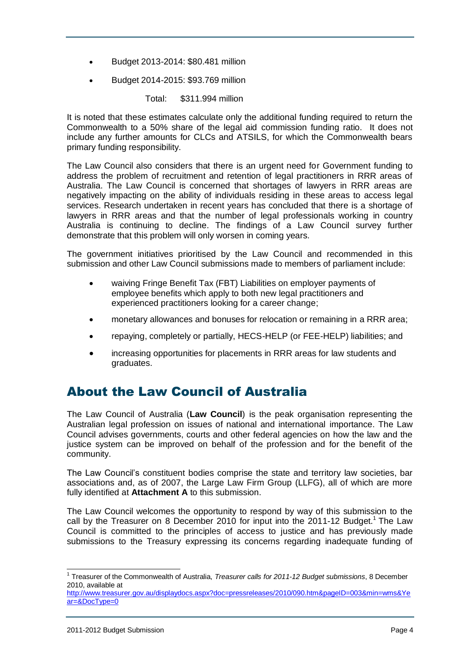- Budget 2013-2014: \$80.481 million
- Budget 2014-2015: \$93.769 million

Total: \$311.994 million

It is noted that these estimates calculate only the additional funding required to return the Commonwealth to a 50% share of the legal aid commission funding ratio. It does not include any further amounts for CLCs and ATSILS, for which the Commonwealth bears primary funding responsibility.

The Law Council also considers that there is an urgent need for Government funding to address the problem of recruitment and retention of legal practitioners in RRR areas of Australia. The Law Council is concerned that shortages of lawyers in RRR areas are negatively impacting on the ability of individuals residing in these areas to access legal services. Research undertaken in recent years has concluded that there is a shortage of lawyers in RRR areas and that the number of legal professionals working in country Australia is continuing to decline. The findings of a Law Council survey further demonstrate that this problem will only worsen in coming years.

The government initiatives prioritised by the Law Council and recommended in this submission and other Law Council submissions made to members of parliament include:

- waiving Fringe Benefit Tax (FBT) Liabilities on employer payments of employee benefits which apply to both new legal practitioners and experienced practitioners looking for a career change;
- monetary allowances and bonuses for relocation or remaining in a RRR area;
- repaying, completely or partially, HECS-HELP (or FEE-HELP) liabilities; and
- increasing opportunities for placements in RRR areas for law students and graduates.

# <span id="page-3-0"></span>About the Law Council of Australia

The Law Council of Australia (**Law Council**) is the peak organisation representing the Australian legal profession on issues of national and international importance. The Law Council advises governments, courts and other federal agencies on how the law and the justice system can be improved on behalf of the profession and for the benefit of the community.

The Law Council"s constituent bodies comprise the state and territory law societies, bar associations and, as of 2007, the Large Law Firm Group (LLFG), all of which are more fully identified at **Attachment A** to this submission.

The Law Council welcomes the opportunity to respond by way of this submission to the call by the Treasurer on 8 December 2010 for input into the 2011-12 Budget.<sup>1</sup> The Law Council is committed to the principles of access to justice and has previously made submissions to the Treasury expressing its concerns regarding inadequate funding of

 1 Treasurer of the Commonwealth of Australia, *Treasurer calls for 2011-12 Budget submissions*, 8 December 2010, available at

[http://www.treasurer.gov.au/displaydocs.aspx?doc=pressreleases/2010/090.htm&pageID=003&min=wms&Ye](http://www.treasurer.gov.au/displaydocs.aspx?doc=pressreleases/2010/090.htm&pageID=003&min=wms&Year=&DocType=0) [ar=&DocType=0](http://www.treasurer.gov.au/displaydocs.aspx?doc=pressreleases/2010/090.htm&pageID=003&min=wms&Year=&DocType=0)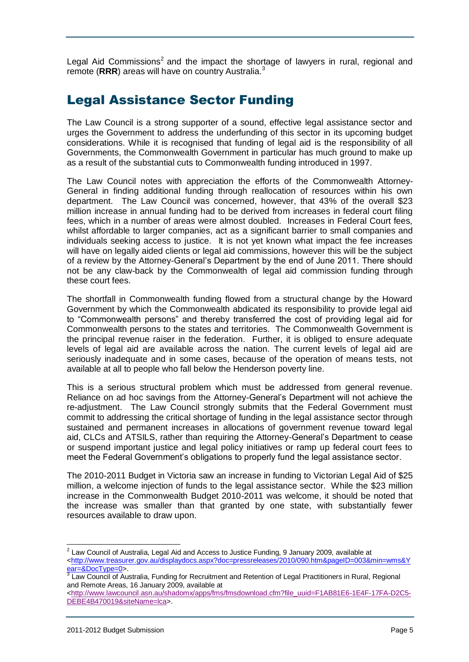Legal Aid Commissions<sup>2</sup> and the impact the shortage of lawyers in rural, regional and remote (RRR) areas will have on country Australia.<sup>3</sup>

# <span id="page-4-0"></span>Legal Assistance Sector Funding

The Law Council is a strong supporter of a sound, effective legal assistance sector and urges the Government to address the underfunding of this sector in its upcoming budget considerations. While it is recognised that funding of legal aid is the responsibility of all Governments, the Commonwealth Government in particular has much ground to make up as a result of the substantial cuts to Commonwealth funding introduced in 1997.

The Law Council notes with appreciation the efforts of the Commonwealth Attorney-General in finding additional funding through reallocation of resources within his own department. The Law Council was concerned, however, that 43% of the overall \$23 million increase in annual funding had to be derived from increases in federal court filing fees, which in a number of areas were almost doubled. Increases in Federal Court fees, whilst affordable to larger companies, act as a significant barrier to small companies and individuals seeking access to justice. It is not yet known what impact the fee increases will have on legally aided clients or legal aid commissions, however this will be the subject of a review by the Attorney-General"s Department by the end of June 2011. There should not be any claw-back by the Commonwealth of legal aid commission funding through these court fees.

The shortfall in Commonwealth funding flowed from a structural change by the Howard Government by which the Commonwealth abdicated its responsibility to provide legal aid to "Commonwealth persons" and thereby transferred the cost of providing legal aid for Commonwealth persons to the states and territories. The Commonwealth Government is the principal revenue raiser in the federation. Further, it is obliged to ensure adequate levels of legal aid are available across the nation. The current levels of legal aid are seriously inadequate and in some cases, because of the operation of means tests, not available at all to people who fall below the Henderson poverty line.

This is a serious structural problem which must be addressed from general revenue. Reliance on ad hoc savings from the Attorney-General"s Department will not achieve the re-adjustment. The Law Council strongly submits that the Federal Government must commit to addressing the critical shortage of funding in the legal assistance sector through sustained and permanent increases in allocations of government revenue toward legal aid, CLCs and ATSILS, rather than requiring the Attorney-General"s Department to cease or suspend important justice and legal policy initiatives or ramp up federal court fees to meet the Federal Government"s obligations to properly fund the legal assistance sector.

The 2010-2011 Budget in Victoria saw an increase in funding to Victorian Legal Aid of \$25 million, a welcome injection of funds to the legal assistance sector. While the \$23 million increase in the Commonwealth Budget 2010-2011 was welcome, it should be noted that the increase was smaller than that granted by one state, with substantially fewer resources available to draw upon.

 2 Law Council of Australia, Legal Aid and Access to Justice Funding, 9 January 2009, available at

[<sup>&</sup>lt;http://www.treasurer.gov.au/displaydocs.aspx?doc=pressreleases/2010/090.htm&pageID=003&min=wms&Y](http://www.treasurer.gov.au/displaydocs.aspx?doc=pressreleases/2010/090.htm&pageID=003&min=wms&Year=&DocType=0) <u>ear=&DocType=0</u>>.<br><sup>3</sup> Law Council of Australia, Funding for Recruitment and Retention of Legal Practitioners in Rural, Regional

and Remote Areas, 16 January 2009, available at

[<sup>&</sup>lt;http://www.lawcouncil.asn.au/shadomx/apps/fms/fmsdownload.cfm?file\\_uuid=F1AB81E6-1E4F-17FA-D2C5-](http://www.lawcouncil.asn.au/shadomx/apps/fms/fmsdownload.cfm?file_uuid=F1AB81E6-1E4F-17FA-D2C5-DEBE4B470019&siteName=lca) [DEBE4B470019&siteName=lca>](http://www.lawcouncil.asn.au/shadomx/apps/fms/fmsdownload.cfm?file_uuid=F1AB81E6-1E4F-17FA-D2C5-DEBE4B470019&siteName=lca).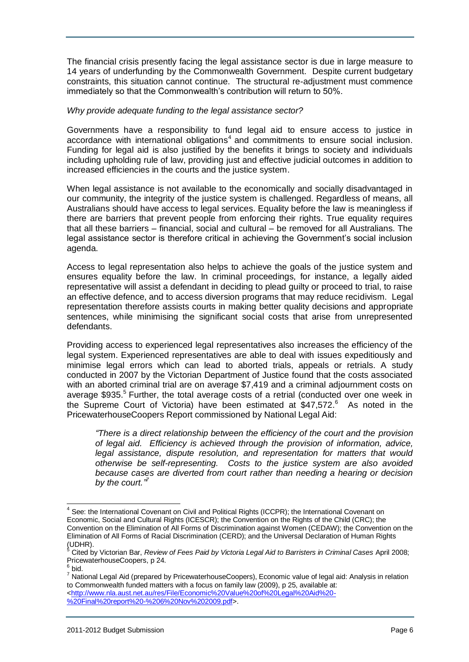The financial crisis presently facing the legal assistance sector is due in large measure to 14 years of underfunding by the Commonwealth Government. Despite current budgetary constraints, this situation cannot continue. The structural re-adjustment must commence immediately so that the Commonwealth's contribution will return to 50%.

#### *Why provide adequate funding to the legal assistance sector?*

Governments have a responsibility to fund legal aid to ensure access to justice in accordance with international obligations<sup>4</sup> and commitments to ensure social inclusion. Funding for legal aid is also justified by the benefits it brings to society and individuals including upholding rule of law, providing just and effective judicial outcomes in addition to increased efficiencies in the courts and the justice system.

When legal assistance is not available to the economically and socially disadvantaged in our community, the integrity of the justice system is challenged. Regardless of means, all Australians should have access to legal services. Equality before the law is meaningless if there are barriers that prevent people from enforcing their rights. True equality requires that all these barriers – financial, social and cultural – be removed for all Australians. The legal assistance sector is therefore critical in achieving the Government"s social inclusion agenda.

Access to legal representation also helps to achieve the goals of the justice system and ensures equality before the law. In criminal proceedings, for instance, a legally aided representative will assist a defendant in deciding to plead guilty or proceed to trial, to raise an effective defence, and to access diversion programs that may reduce recidivism. Legal representation therefore assists courts in making better quality decisions and appropriate sentences, while minimising the significant social costs that arise from unrepresented defendants.

Providing access to experienced legal representatives also increases the efficiency of the legal system. Experienced representatives are able to deal with issues expeditiously and minimise legal errors which can lead to aborted trials, appeals or retrials. A study conducted in 2007 by the Victorian Department of Justice found that the costs associated with an aborted criminal trial are on average \$7,419 and a criminal adjournment costs on average \$935.<sup>5</sup> Further, the total average costs of a retrial (conducted over one week in the Supreme Court of Victoria) have been estimated at \$47,572.<sup>6</sup> As noted in the PricewaterhouseCoopers Report commissioned by National Legal Aid:

*"There is a direct relationship between the efficiency of the court and the provision of legal aid. Efficiency is achieved through the provision of information, advice, legal assistance, dispute resolution, and representation for matters that would otherwise be self-representing. Costs to the justice system are also avoided because cases are diverted from court rather than needing a hearing or decision*  by the court."<sup>7</sup>

j  $4$  See: the International Covenant on Civil and Political Rights (ICCPR); the International Covenant on Economic, Social and Cultural Rights (ICESCR); the Convention on the Rights of the Child (CRC); the Convention on the Elimination of All Forms of Discrimination against Women (CEDAW); the Convention on the Elimination of All Forms of Racial Discrimination (CERD); and the Universal Declaration of Human Rights  $(UDHR)$ .

<sup>5</sup> Cited by Victorian Bar, *Review of Fees Paid by Victoria Legal Aid to Barristers in Criminal Cases* April 2008; PricewaterhouseCoopers, p 24.

 $^6$  bid.

<sup>7</sup> National Legal Aid (prepared by PricewaterhouseCoopers), Economic value of legal aid: Analysis in relation to Commonwealth funded matters with a focus on family law (2009), p 25, available at: [<http://www.nla.aust.net.au/res/File/Economic%20Value%20of%20Legal%20Aid%20-](http://www.nla.aust.net.au/res/File/Economic%20Value%20of%20Legal%20Aid%20-%20Final%20report%20-%206%20Nov%202009.pdf) [%20Final%20report%20-%206%20Nov%202009.pdf>](http://www.nla.aust.net.au/res/File/Economic%20Value%20of%20Legal%20Aid%20-%20Final%20report%20-%206%20Nov%202009.pdf).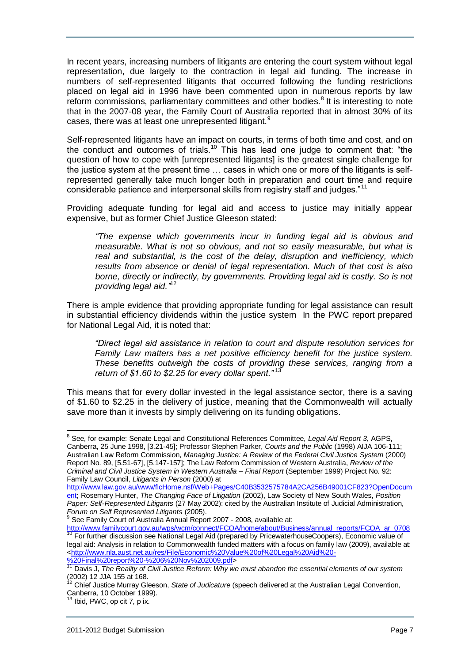In recent years, increasing numbers of litigants are entering the court system without legal representation, due largely to the contraction in legal aid funding. The increase in numbers of self-represented litigants that occurred following the funding restrictions placed on legal aid in 1996 have been commented upon in numerous reports by law reform commissions, parliamentary committees and other bodies.<sup>8</sup> It is interesting to note that in the 2007-08 year, the Family Court of Australia reported that in almost 30% of its cases, there was at least one unrepresented litigant.<sup>9</sup>

Self-represented litigants have an impact on courts, in terms of both time and cost, and on the conduct and outcomes of trials.<sup>10</sup> This has lead one judge to comment that: "the question of how to cope with [unrepresented litigants] is the greatest single challenge for the justice system at the present time … cases in which one or more of the litigants is selfrepresented generally take much longer both in preparation and court time and require considerable patience and interpersonal skills from registry staff and judges."<sup>11</sup>

Providing adequate funding for legal aid and access to justice may initially appear expensive, but as former Chief Justice Gleeson stated:

*"The expense which governments incur in funding legal aid is obvious and measurable. What is not so obvious, and not so easily measurable, but what is real and substantial, is the cost of the delay, disruption and inefficiency, which results from absence or denial of legal representation. Much of that cost is also borne, directly or indirectly, by governments. Providing legal aid is costly. So is not providing legal aid."* 12

There is ample evidence that providing appropriate funding for legal assistance can result in substantial efficiency dividends within the justice system In the PWC report prepared for National Legal Aid, it is noted that:

*"Direct legal aid assistance in relation to court and dispute resolution services for Family Law matters has a net positive efficiency benefit for the justice system. These benefits outweigh the costs of providing these services, ranging from a return of \$1.60 to \$2.25 for every dollar spent."* <sup>13</sup>

This means that for every dollar invested in the legal assistance sector, there is a saving of \$1.60 to \$2.25 in the delivery of justice, meaning that the Commonwealth will actually save more than it invests by simply delivering on its funding obligations.

<sup>8</sup> See, for example: Senate Legal and Constitutional References Committee, *Legal Aid Report 3,* AGPS, Canberra, 25 June 1998, [3.21-45]; Professor Stephen Parker, *Courts and the Public* (1998) AIJA 106-111; Australian Law Reform Commission, *Managing Justice: A Review of the Federal Civil Justice System* (2000) Report No. 89, [5.51-67], [5.147-157]; The Law Reform Commission of Western Australia, *Review of the Criminal and Civil Justice System in Western Australia – Final Report* (September 1999) Project No. 92: Family Law Council, *Litigants in Person* (2000) at

[http://www.law.gov.au/www/flcHome.nsf/Web+Pages/C40B3532575784A2CA256B49001CF823?OpenDocum](http://www.law.gov.au/www/flcHome.nsf/Web+Pages/C40B3532575784A2CA256B49001CF823?OpenDocument) [ent;](http://www.law.gov.au/www/flcHome.nsf/Web+Pages/C40B3532575784A2CA256B49001CF823?OpenDocument) Rosemary Hunter, *The Changing Face of Litigation* (2002), Law Society of New South Wales, *Position Paper: Self-Represented Litigants* (27 May 2002): cited by the Australian Institute of Judicial Administration, *Forum on Self Represented Litigants* (2005).

[http://www.familycourt.gov.au/wps/wcm/connect/FCOA/home/about/Business/annual\\_reports/FCOA\\_ar\\_0708](http://www.familycourt.gov.au/wps/wcm/connect/FCOA/home/about/Business/annual_reports/FCOA_ar_0708) <sup>10</sup> For further discussion see National Legal Aid (prepared by PricewaterhouseCoopers), Economic value of legal aid: Analysis in relation to Commonwealth funded matters with a focus on family law (2009), available at: [<http://www.nla.aust.net.au/res/File/Economic%20Value%20of%20Legal%20Aid%20-](http://www.nla.aust.net.au/res/File/Economic%20Value%20of%20Legal%20Aid%20-%20Final%20report%20-%206%20Nov%202009.pdf) [%20Final%20report%20-%206%20Nov%202009.pdf>](http://www.nla.aust.net.au/res/File/Economic%20Value%20of%20Legal%20Aid%20-%20Final%20report%20-%206%20Nov%202009.pdf)

j

<sup>&</sup>lt;sup>9</sup> See Family Court of Australia Annual Report 2007 - 2008, available at:

<sup>11</sup> Davis J, *The Reality of Civil Justice Reform: Why we must abandon the essential elements of our system*  (2002) 12 JJA 155 at 168.<br><sup>12</sup> Chi 1.

<sup>12</sup> Chief Justice Murray Gleeson, *State of Judicature* (speech delivered at the Australian Legal Convention, Canberra, 10 October 1999).

Ibid, PWC, op cit 7, p ix.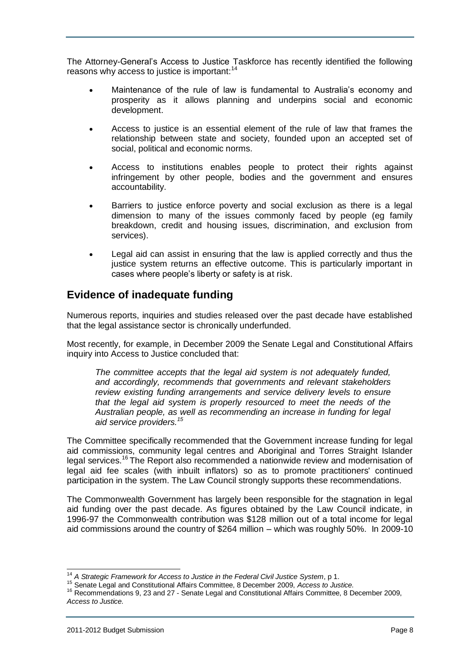The Attorney-General"s Access to Justice Taskforce has recently identified the following reasons why access to justice is important:<sup>14</sup>

- Maintenance of the rule of law is fundamental to Australia"s economy and prosperity as it allows planning and underpins social and economic development.
- Access to justice is an essential element of the rule of law that frames the relationship between state and society, founded upon an accepted set of social, political and economic norms.
- Access to institutions enables people to protect their rights against infringement by other people, bodies and the government and ensures accountability.
- Barriers to justice enforce poverty and social exclusion as there is a legal dimension to many of the issues commonly faced by people (eg family breakdown, credit and housing issues, discrimination, and exclusion from services).
- Legal aid can assist in ensuring that the law is applied correctly and thus the justice system returns an effective outcome. This is particularly important in cases where people"s liberty or safety is at risk.

### <span id="page-7-0"></span>**Evidence of inadequate funding**

Numerous reports, inquiries and studies released over the past decade have established that the legal assistance sector is chronically underfunded.

Most recently, for example, in December 2009 the Senate Legal and Constitutional Affairs inquiry into Access to Justice concluded that:

The committee accepts that the legal aid system is not adequately funded, *and accordingly, recommends that governments and relevant stakeholders review existing funding arrangements and service delivery levels to ensure that the legal aid system is properly resourced to meet the needs of the Australian people, as well as recommending an increase in funding for legal aid service providers.<sup>15</sup>*

The Committee specifically recommended that the Government increase funding for legal aid commissions, community legal centres and Aboriginal and Torres Straight Islander legal services.<sup>16</sup> The Report also recommended a nationwide review and modernisation of legal aid fee scales (with inbuilt inflators) so as to promote practitioners' continued participation in the system. The Law Council strongly supports these recommendations.

The Commonwealth Government has largely been responsible for the stagnation in legal aid funding over the past decade. As figures obtained by the Law Council indicate, in 1996-97 the Commonwealth contribution was \$128 million out of a total income for legal aid commissions around the country of \$264 million – which was roughly 50%. In 2009-10

j <sup>14</sup> *A Strategic Framework for Access to Justice in the Federal Civil Justice System*, p 1.

<sup>15</sup> Senate Legal and Constitutional Affairs Committee, 8 December 2009, *Access to Justice.* 

<sup>&</sup>lt;sup>16</sup> Recommendations 9, 23 and 27 - Senate Legal and Constitutional Affairs Committee, 8 December 2009, *Access to Justice.*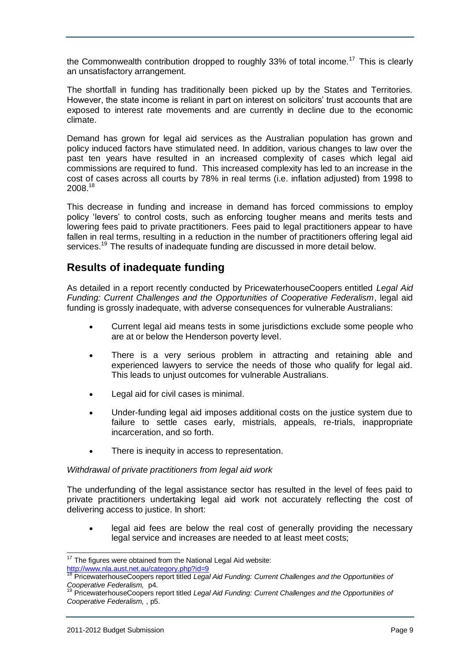the Commonwealth contribution dropped to roughly 33% of total income.<sup>17</sup> This is clearly an unsatisfactory arrangement.

The shortfall in funding has traditionally been picked up by the States and Territories. However, the state income is reliant in part on interest on solicitors" trust accounts that are exposed to interest rate movements and are currently in decline due to the economic climate.

Demand has grown for legal aid services as the Australian population has grown and policy induced factors have stimulated need. In addition, various changes to law over the past ten years have resulted in an increased complexity of cases which legal aid commissions are required to fund. This increased complexity has led to an increase in the cost of cases across all courts by 78% in real terms (i.e. inflation adjusted) from 1998 to 2008.<sup>18</sup>

This decrease in funding and increase in demand has forced commissions to employ policy "levers" to control costs, such as enforcing tougher means and merits tests and lowering fees paid to private practitioners. Fees paid to legal practitioners appear to have fallen in real terms, resulting in a reduction in the number of practitioners offering legal aid services.<sup>19</sup> The results of inadequate funding are discussed in more detail below.

### <span id="page-8-0"></span>**Results of inadequate funding**

As detailed in a report recently conducted by PricewaterhouseCoopers entitled *Legal Aid Funding: Current Challenges and the Opportunities of Cooperative Federalism*, legal aid funding is grossly inadequate, with adverse consequences for vulnerable Australians:

- Current legal aid means tests in some jurisdictions exclude some people who are at or below the Henderson poverty level.
- There is a very serious problem in attracting and retaining able and experienced lawyers to service the needs of those who qualify for legal aid. This leads to unjust outcomes for vulnerable Australians.
- Legal aid for civil cases is minimal.
- Under-funding legal aid imposes additional costs on the justice system due to failure to settle cases early, mistrials, appeals, re-trials, inappropriate incarceration, and so forth.
- There is inequity in access to representation.

#### *Withdrawal of private practitioners from legal aid work*

The underfunding of the legal assistance sector has resulted in the level of fees paid to private practitioners undertaking legal aid work not accurately reflecting the cost of delivering access to justice. In short:

 legal aid fees are below the real cost of generally providing the necessary legal service and increases are needed to at least meet costs;

 $\overline{a}$  $17$  The figures were obtained from the National Legal Aid website: <http://www.nla.aust.net.au/category.php?id=9>

<sup>18</sup> PricewaterhouseCoopers report titled *Legal Aid Funding: Current Challenges and the Opportunities of Cooperative Federalism,* p4.

<sup>19</sup> PricewaterhouseCoopers report titled *Legal Aid Funding: Current Challenges and the Opportunities of Cooperative Federalism,* , p5.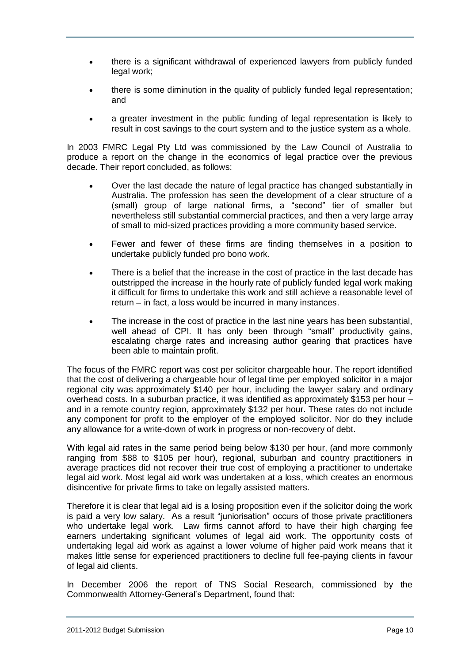- there is a significant withdrawal of experienced lawyers from publicly funded legal work;
- there is some diminution in the quality of publicly funded legal representation; and
- a greater investment in the public funding of legal representation is likely to result in cost savings to the court system and to the justice system as a whole.

In 2003 FMRC Legal Pty Ltd was commissioned by the Law Council of Australia to produce a report on the change in the economics of legal practice over the previous decade. Their report concluded, as follows:

- Over the last decade the nature of legal practice has changed substantially in Australia. The profession has seen the development of a clear structure of a (small) group of large national firms, a "second" tier of smaller but nevertheless still substantial commercial practices, and then a very large array of small to mid-sized practices providing a more community based service.
- Fewer and fewer of these firms are finding themselves in a position to undertake publicly funded pro bono work.
- There is a belief that the increase in the cost of practice in the last decade has outstripped the increase in the hourly rate of publicly funded legal work making it difficult for firms to undertake this work and still achieve a reasonable level of return – in fact, a loss would be incurred in many instances.
- The increase in the cost of practice in the last nine years has been substantial, well ahead of CPI. It has only been through "small" productivity gains, escalating charge rates and increasing author gearing that practices have been able to maintain profit.

The focus of the FMRC report was cost per solicitor chargeable hour. The report identified that the cost of delivering a chargeable hour of legal time per employed solicitor in a major regional city was approximately \$140 per hour, including the lawyer salary and ordinary overhead costs. In a suburban practice, it was identified as approximately \$153 per hour – and in a remote country region, approximately \$132 per hour. These rates do not include any component for profit to the employer of the employed solicitor. Nor do they include any allowance for a write-down of work in progress or non-recovery of debt.

With legal aid rates in the same period being below \$130 per hour, (and more commonly ranging from \$88 to \$105 per hour), regional, suburban and country practitioners in average practices did not recover their true cost of employing a practitioner to undertake legal aid work. Most legal aid work was undertaken at a loss, which creates an enormous disincentive for private firms to take on legally assisted matters.

Therefore it is clear that legal aid is a losing proposition even if the solicitor doing the work is paid a very low salary. As a result "juniorisation" occurs of those private practitioners who undertake legal work. Law firms cannot afford to have their high charging fee earners undertaking significant volumes of legal aid work. The opportunity costs of undertaking legal aid work as against a lower volume of higher paid work means that it makes little sense for experienced practitioners to decline full fee-paying clients in favour of legal aid clients.

In December 2006 the report of TNS Social Research, commissioned by the Commonwealth Attorney-General"s Department, found that: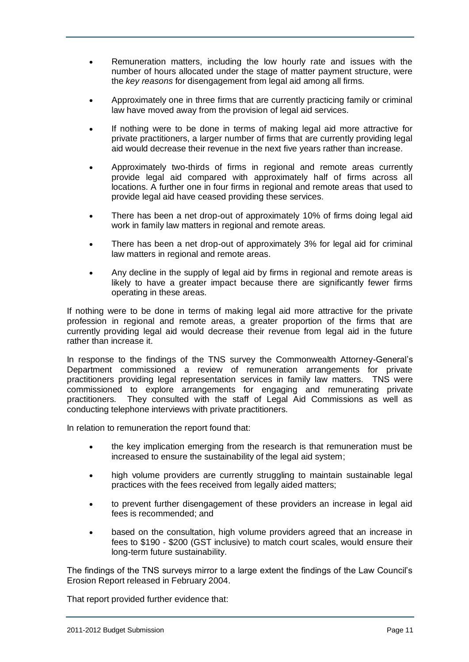- Remuneration matters, including the low hourly rate and issues with the number of hours allocated under the stage of matter payment structure, were the *key reasons* for disengagement from legal aid among all firms.
- Approximately one in three firms that are currently practicing family or criminal law have moved away from the provision of legal aid services.
- If nothing were to be done in terms of making legal aid more attractive for private practitioners, a larger number of firms that are currently providing legal aid would decrease their revenue in the next five years rather than increase.
- Approximately two-thirds of firms in regional and remote areas currently provide legal aid compared with approximately half of firms across all locations. A further one in four firms in regional and remote areas that used to provide legal aid have ceased providing these services.
- There has been a net drop-out of approximately 10% of firms doing legal aid work in family law matters in regional and remote areas.
- There has been a net drop-out of approximately 3% for legal aid for criminal law matters in regional and remote areas.
- Any decline in the supply of legal aid by firms in regional and remote areas is likely to have a greater impact because there are significantly fewer firms operating in these areas.

If nothing were to be done in terms of making legal aid more attractive for the private profession in regional and remote areas, a greater proportion of the firms that are currently providing legal aid would decrease their revenue from legal aid in the future rather than increase it.

In response to the findings of the TNS survey the Commonwealth Attorney-General"s Department commissioned a review of remuneration arrangements for private practitioners providing legal representation services in family law matters. TNS were commissioned to explore arrangements for engaging and remunerating private practitioners. They consulted with the staff of Legal Aid Commissions as well as conducting telephone interviews with private practitioners.

In relation to remuneration the report found that:

- the key implication emerging from the research is that remuneration must be increased to ensure the sustainability of the legal aid system;
- high volume providers are currently struggling to maintain sustainable legal practices with the fees received from legally aided matters;
- to prevent further disengagement of these providers an increase in legal aid fees is recommended; and
- based on the consultation, high volume providers agreed that an increase in fees to \$190 - \$200 (GST inclusive) to match court scales, would ensure their long-term future sustainability.

The findings of the TNS surveys mirror to a large extent the findings of the Law Council"s Erosion Report released in February 2004.

That report provided further evidence that: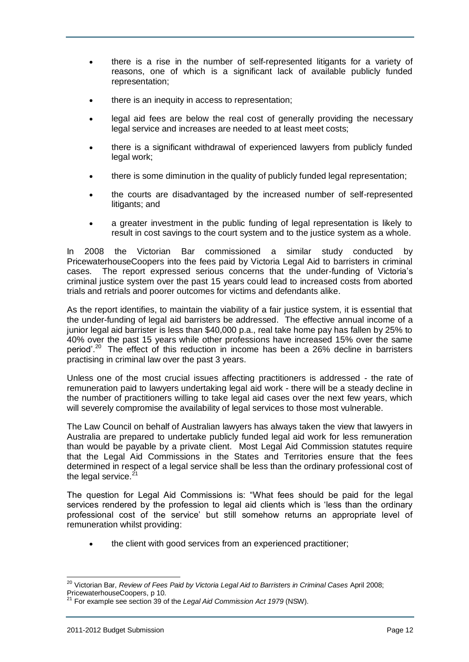- there is a rise in the number of self-represented litigants for a variety of reasons, one of which is a significant lack of available publicly funded representation;
- there is an inequity in access to representation;
- legal aid fees are below the real cost of generally providing the necessary legal service and increases are needed to at least meet costs;
- there is a significant withdrawal of experienced lawyers from publicly funded legal work;
- there is some diminution in the quality of publicly funded legal representation;
- the courts are disadvantaged by the increased number of self-represented litigants; and
- a greater investment in the public funding of legal representation is likely to result in cost savings to the court system and to the justice system as a whole.

In 2008 the Victorian Bar commissioned a similar study conducted by PricewaterhouseCoopers into the fees paid by Victoria Legal Aid to barristers in criminal cases. The report expressed serious concerns that the under-funding of Victoria"s criminal justice system over the past 15 years could lead to increased costs from aborted trials and retrials and poorer outcomes for victims and defendants alike.

As the report identifies, to maintain the viability of a fair justice system, it is essential that the under-funding of legal aid barristers be addressed. The effective annual income of a junior legal aid barrister is less than \$40,000 p.a., real take home pay has fallen by 25% to 40% over the past 15 years while other professions have increased 15% over the same period'.<sup>20</sup> The effect of this reduction in income has been a 26% decline in barristers practising in criminal law over the past 3 years.

Unless one of the most crucial issues affecting practitioners is addressed - the rate of remuneration paid to lawyers undertaking legal aid work - there will be a steady decline in the number of practitioners willing to take legal aid cases over the next few years, which will severely compromise the availability of legal services to those most vulnerable.

The Law Council on behalf of Australian lawyers has always taken the view that lawyers in Australia are prepared to undertake publicly funded legal aid work for less remuneration than would be payable by a private client. Most Legal Aid Commission statutes require that the Legal Aid Commissions in the States and Territories ensure that the fees determined in respect of a legal service shall be less than the ordinary professional cost of the legal service. $21$ 

The question for Legal Aid Commissions is: "What fees should be paid for the legal services rendered by the profession to legal aid clients which is "less than the ordinary professional cost of the service" but still somehow returns an appropriate level of remuneration whilst providing:

the client with good services from an experienced practitioner;

<sup>&</sup>lt;sup>20</sup> Victorian Bar, *Review of Fees Paid by Victoria Legal Aid to Barristers in Criminal Cases April 2008;* PricewaterhouseCoopers, p 10.

<sup>21</sup> For example see section 39 of the *Legal Aid Commission Act 1979* (NSW).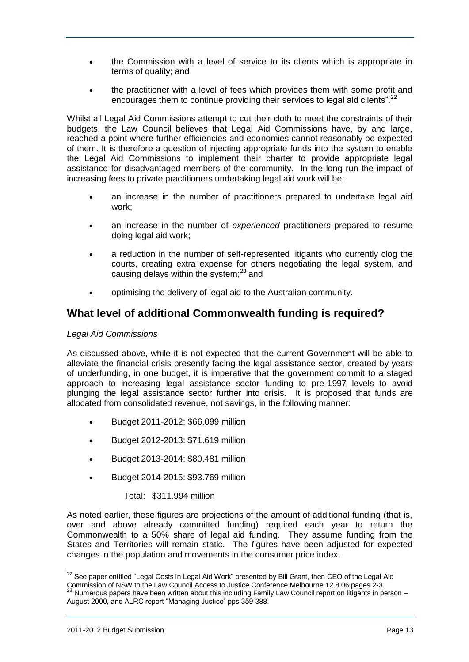- the Commission with a level of service to its clients which is appropriate in terms of quality; and
- the practitioner with a level of fees which provides them with some profit and encourages them to continue providing their services to legal aid clients".<sup>22</sup>

Whilst all Legal Aid Commissions attempt to cut their cloth to meet the constraints of their budgets, the Law Council believes that Legal Aid Commissions have, by and large, reached a point where further efficiencies and economies cannot reasonably be expected of them. It is therefore a question of injecting appropriate funds into the system to enable the Legal Aid Commissions to implement their charter to provide appropriate legal assistance for disadvantaged members of the community. In the long run the impact of increasing fees to private practitioners undertaking legal aid work will be:

- an increase in the number of practitioners prepared to undertake legal aid work;
- an increase in the number of *experienced* practitioners prepared to resume doing legal aid work;
- a reduction in the number of self-represented litigants who currently clog the courts, creating extra expense for others negotiating the legal system, and causing delays within the system; $^{23}$  and
- optimising the delivery of legal aid to the Australian community.

### <span id="page-12-0"></span>**What level of additional Commonwealth funding is required?**

#### *Legal Aid Commissions*

As discussed above, while it is not expected that the current Government will be able to alleviate the financial crisis presently facing the legal assistance sector, created by years of underfunding, in one budget, it is imperative that the government commit to a staged approach to increasing legal assistance sector funding to pre-1997 levels to avoid plunging the legal assistance sector further into crisis. It is proposed that funds are allocated from consolidated revenue, not savings, in the following manner:

- Budget 2011-2012: \$66.099 million
- Budget 2012-2013: \$71.619 million
- Budget 2013-2014: \$80.481 million
- Budget 2014-2015: \$93.769 million

Total: \$311.994 million

As noted earlier, these figures are projections of the amount of additional funding (that is, over and above already committed funding) required each year to return the Commonwealth to a 50% share of legal aid funding. They assume funding from the States and Territories will remain static. The figures have been adjusted for expected changes in the population and movements in the consumer price index.

j  $^{22}$  See paper entitled "Legal Costs in Legal Aid Work" presented by Bill Grant, then CEO of the Legal Aid Commission of NSW to the Law Council Access to Justice Conference Melbourne 12.8.06 pages 2-3.

<sup>23</sup> Numerous papers have been written about this including Family Law Council report on litigants in person – August 2000, and ALRC report "Managing Justice" pps 359-388.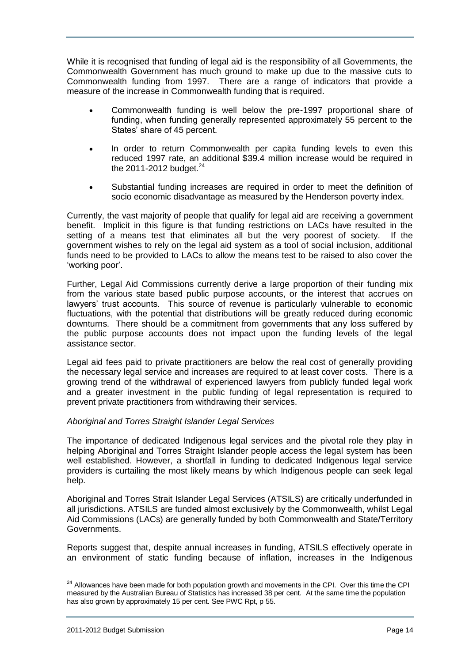While it is recognised that funding of legal aid is the responsibility of all Governments, the Commonwealth Government has much ground to make up due to the massive cuts to Commonwealth funding from 1997. There are a range of indicators that provide a measure of the increase in Commonwealth funding that is required.

- Commonwealth funding is well below the pre-1997 proportional share of funding, when funding generally represented approximately 55 percent to the States' share of 45 percent.
- In order to return Commonwealth per capita funding levels to even this reduced 1997 rate, an additional \$39.4 million increase would be required in the 2011-2012 budget. $24$
- Substantial funding increases are required in order to meet the definition of socio economic disadvantage as measured by the Henderson poverty index.

Currently, the vast majority of people that qualify for legal aid are receiving a government benefit. Implicit in this figure is that funding restrictions on LACs have resulted in the setting of a means test that eliminates all but the very poorest of society. If the government wishes to rely on the legal aid system as a tool of social inclusion, additional funds need to be provided to LACs to allow the means test to be raised to also cover the 'working poor'.

Further, Legal Aid Commissions currently derive a large proportion of their funding mix from the various state based public purpose accounts, or the interest that accrues on lawyers' trust accounts. This source of revenue is particularly vulnerable to economic fluctuations, with the potential that distributions will be greatly reduced during economic downturns. There should be a commitment from governments that any loss suffered by the public purpose accounts does not impact upon the funding levels of the legal assistance sector.

Legal aid fees paid to private practitioners are below the real cost of generally providing the necessary legal service and increases are required to at least cover costs. There is a growing trend of the withdrawal of experienced lawyers from publicly funded legal work and a greater investment in the public funding of legal representation is required to prevent private practitioners from withdrawing their services.

#### *Aboriginal and Torres Straight Islander Legal Services*

The importance of dedicated Indigenous legal services and the pivotal role they play in helping Aboriginal and Torres Straight Islander people access the legal system has been well established. However, a shortfall in funding to dedicated Indigenous legal service providers is curtailing the most likely means by which Indigenous people can seek legal help.

Aboriginal and Torres Strait Islander Legal Services (ATSILS) are critically underfunded in all jurisdictions. ATSILS are funded almost exclusively by the Commonwealth, whilst Legal Aid Commissions (LACs) are generally funded by both Commonwealth and State/Territory Governments.

Reports suggest that, despite annual increases in funding, ATSILS effectively operate in an environment of static funding because of inflation, increases in the Indigenous

 $^{24}$  Allowances have been made for both population growth and movements in the CPI. Over this time the CPI measured by the Australian Bureau of Statistics has increased 38 per cent. At the same time the population has also grown by approximately 15 per cent. See PWC Rpt, p 55.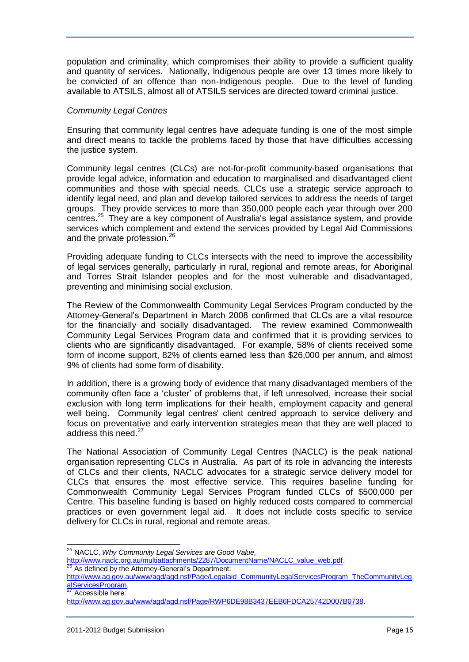population and criminality, which compromises their ability to provide a sufficient quality and quantity of services. Nationally, Indigenous people are over 13 times more likely to be convicted of an offence than non-Indigenous people. Due to the level of funding available to ATSILS, almost all of ATSILS services are directed toward criminal justice.

#### *Community Legal Centres*

Ensuring that community legal centres have adequate funding is one of the most simple and direct means to tackle the problems faced by those that have difficulties accessing the justice system.

Community legal centres (CLCs) are not-for-profit community-based organisations that provide legal advice, information and education to marginalised and disadvantaged client communities and those with special needs. CLCs use a strategic service approach to identify legal need, and plan and develop tailored services to address the needs of target groups. They provide services to more than 350,000 people each year through over 200 centres.<sup>25</sup> They are a key component of Australia's legal assistance system, and provide services which complement and extend the services provided by Legal Aid Commissions and the private profession.<sup>26</sup>

Providing adequate funding to CLCs intersects with the need to improve the accessibility of legal services generally, particularly in rural, regional and remote areas, for Aboriginal and Torres Strait Islander peoples and for the most vulnerable and disadvantaged, preventing and minimising social exclusion.

The Review of the Commonwealth Community Legal Services Program conducted by the Attorney-General"s Department in March 2008 confirmed that CLCs are a vital resource for the financially and socially disadvantaged. The review examined Commonwealth Community Legal Services Program data and confirmed that it is providing services to clients who are significantly disadvantaged. For example, 58% of clients received some form of income support, 82% of clients earned less than \$26,000 per annum, and almost 9% of clients had some form of disability.

In addition, there is a growing body of evidence that many disadvantaged members of the community often face a "cluster" of problems that, if left unresolved, increase their social exclusion with long term implications for their health, employment capacity and general well being. Community legal centres' client centred approach to service delivery and focus on preventative and early intervention strategies mean that they are well placed to address this need. $27$ 

The National Association of Community Legal Centres (NACLC) is the peak national organisation representing CLCs in Australia. As part of its role in advancing the interests of CLCs and their clients, NACLC advocates for a strategic service delivery model for CLCs that ensures the most effective service. This requires baseline funding for Commonwealth Community Legal Services Program funded CLCs of \$500,000 per Centre. This baseline funding is based on highly reduced costs compared to commercial practices or even government legal aid. It does not include costs specific to service delivery for CLCs in rural, regional and remote areas.

[http://www.naclc.org.au/multiattachments/2287/DocumentName/NACLC\\_value\\_web.pdf.](http://www.naclc.org.au/multiattachments/2287/DocumentName/NACLC_value_web.pdf)  $26$  As defined by the Attorney-General's Department:

<sup>27</sup> Accessible here:

 <sup>25</sup> NACLC, *Why Community Legal Services are Good Value,* 

[http://www.ag.gov.au/www/agd/agd.nsf/Page/Legalaid\\_CommunityLegalServicesProgram\\_TheCommunityLeg](http://www.ag.gov.au/www/agd/agd.nsf/Page/Legalaid_CommunityLegalServicesProgram_TheCommunityLegalServicesProgram) [alServicesProgram.](http://www.ag.gov.au/www/agd/agd.nsf/Page/Legalaid_CommunityLegalServicesProgram_TheCommunityLegalServicesProgram)

[http://www.ag.gov.au/www/agd/agd.nsf/Page/RWP6DE98B3437EEB6FDCA25742D007B0738.](http://www.ag.gov.au/www/agd/agd.nsf/Page/RWP6DE98B3437EEB6FDCA25742D007B0738)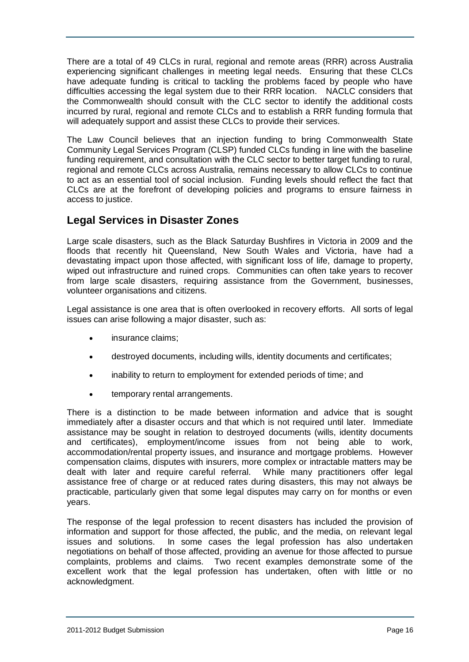There are a total of 49 CLCs in rural, regional and remote areas (RRR) across Australia experiencing significant challenges in meeting legal needs. Ensuring that these CLCs have adequate funding is critical to tackling the problems faced by people who have difficulties accessing the legal system due to their RRR location. NACLC considers that the Commonwealth should consult with the CLC sector to identify the additional costs incurred by rural, regional and remote CLCs and to establish a RRR funding formula that will adequately support and assist these CLCs to provide their services.

The Law Council believes that an injection funding to bring Commonwealth State Community Legal Services Program (CLSP) funded CLCs funding in line with the baseline funding requirement, and consultation with the CLC sector to better target funding to rural, regional and remote CLCs across Australia, remains necessary to allow CLCs to continue to act as an essential tool of social inclusion. Funding levels should reflect the fact that CLCs are at the forefront of developing policies and programs to ensure fairness in access to justice.

### <span id="page-15-0"></span>**Legal Services in Disaster Zones**

Large scale disasters, such as the Black Saturday Bushfires in Victoria in 2009 and the floods that recently hit Queensland, New South Wales and Victoria, have had a devastating impact upon those affected, with significant loss of life, damage to property, wiped out infrastructure and ruined crops. Communities can often take years to recover from large scale disasters, requiring assistance from the Government, businesses, volunteer organisations and citizens.

Legal assistance is one area that is often overlooked in recovery efforts. All sorts of legal issues can arise following a major disaster, such as:

- insurance claims;
- destroyed documents, including wills, identity documents and certificates;
- inability to return to employment for extended periods of time; and
- temporary rental arrangements.

There is a distinction to be made between information and advice that is sought immediately after a disaster occurs and that which is not required until later. Immediate assistance may be sought in relation to destroyed documents (wills, identity documents and certificates), employment/income issues from not being able to work, accommodation/rental property issues, and insurance and mortgage problems. However compensation claims, disputes with insurers, more complex or intractable matters may be dealt with later and require careful referral. While many practitioners offer legal assistance free of charge or at reduced rates during disasters, this may not always be practicable, particularly given that some legal disputes may carry on for months or even years.

The response of the legal profession to recent disasters has included the provision of information and support for those affected, the public, and the media, on relevant legal issues and solutions. In some cases the legal profession has also undertaken negotiations on behalf of those affected, providing an avenue for those affected to pursue complaints, problems and claims. Two recent examples demonstrate some of the excellent work that the legal profession has undertaken, often with little or no acknowledgment.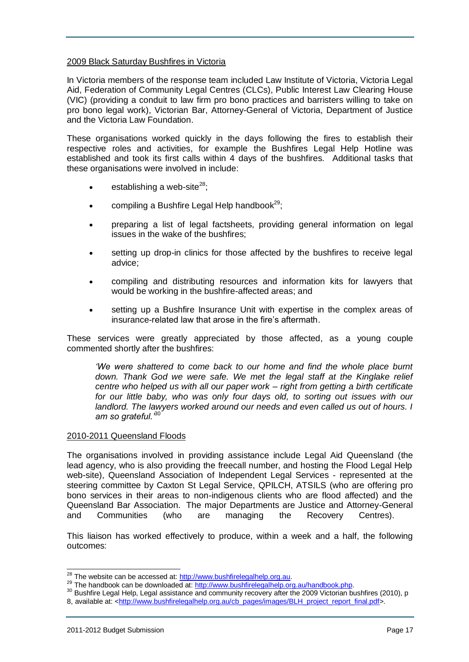#### <span id="page-16-0"></span>2009 Black Saturday Bushfires in Victoria

In Victoria members of the response team included Law Institute of Victoria, Victoria Legal Aid, Federation of Community Legal Centres (CLCs), Public Interest Law Clearing House (VIC) (providing a conduit to law firm pro bono practices and barristers willing to take on pro bono legal work), Victorian Bar, Attorney-General of Victoria, Department of Justice and the Victoria Law Foundation.

These organisations worked quickly in the days following the fires to establish their respective roles and activities, for example the Bushfires Legal Help Hotline was established and took its first calls within 4 days of the bushfires. Additional tasks that these organisations were involved in include:

- establishing a web-site $^{28}$ :
- compiling a Bushfire Legal Help handbook $^{29}$ ;
- preparing a list of legal factsheets, providing general information on legal issues in the wake of the bushfires;
- setting up drop-in clinics for those affected by the bushfires to receive legal advice;
- compiling and distributing resources and information kits for lawyers that would be working in the bushfire-affected areas; and
- setting up a Bushfire Insurance Unit with expertise in the complex areas of insurance-related law that arose in the fire"s aftermath.

These services were greatly appreciated by those affected, as a young couple commented shortly after the bushfires:

*"We were shattered to come back to our home and find the whole place burnt down. Thank God we were safe. We met the legal staff at the Kinglake relief centre who helped us with all our paper work – right from getting a birth certificate for our little baby, who was only four days old, to sorting out issues with our*  landlord. The lawyers worked around our needs and even called us out of hours. I *am so grateful."*<sup>30</sup>

#### <span id="page-16-1"></span>2010-2011 Queensland Floods

The organisations involved in providing assistance include Legal Aid Queensland (the lead agency, who is also providing the freecall number, and hosting the Flood Legal Help web-site), Queensland Association of Independent Legal Services - represented at the steering committee by Caxton St Legal Service, QPILCH, ATSILS (who are offering pro bono services in their areas to non-indigenous clients who are flood affected) and the Queensland Bar Association. The major Departments are Justice and Attorney-General and Communities (who are managing the Recovery Centres).

This liaison has worked effectively to produce, within a week and a half, the following outcomes:

j

<sup>&</sup>lt;sup>28</sup> The website can be accessed at: [http://www.bushfirelegalhelp.org.au.](http://www.bushfirelegalhelp.org.au/)

<sup>&</sup>lt;sup>29</sup> The handbook can be downloaded at: [http://www.bushfirelegalhelp.org.au/handbook.php.](http://www.bushfirelegalhelp.org.au/handbook.php)

<sup>&</sup>lt;sup>30</sup> Bushfire Legal Help, Legal assistance and community recovery after the 2009 Victorian bushfires (2010), p 8, available at: [<http://www.bushfirelegalhelp.org.au/cb\\_pages/images/BLH\\_project\\_report\\_final.pdf>](http://www.bushfirelegalhelp.org.au/cb_pages/images/BLH_project_report_final.pdf).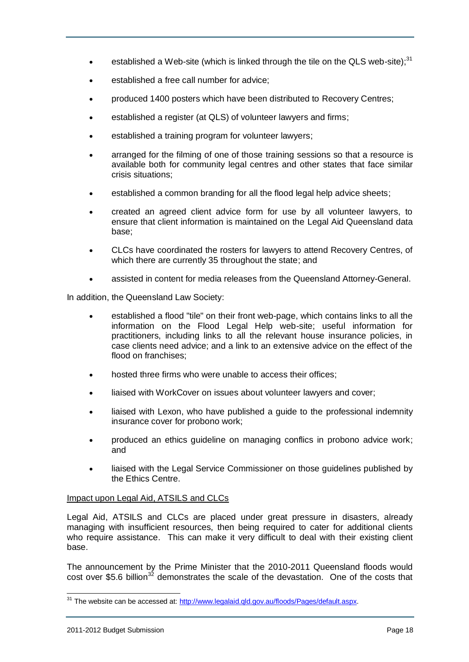- **e** established a Web-site (which is linked through the tile on the QLS web-site);<sup>31</sup>
- established a free call number for advice;
- produced 1400 posters which have been distributed to Recovery Centres;
- established a register (at QLS) of volunteer lawyers and firms;
- established a training program for volunteer lawyers;
- arranged for the filming of one of those training sessions so that a resource is available both for community legal centres and other states that face similar crisis situations;
- established a common branding for all the flood legal help advice sheets;
- created an agreed client advice form for use by all volunteer lawyers, to ensure that client information is maintained on the Legal Aid Queensland data base;
- CLCs have coordinated the rosters for lawyers to attend Recovery Centres, of which there are currently 35 throughout the state; and
- assisted in content for media releases from the Queensland Attorney-General.

In addition, the Queensland Law Society:

- established a flood "tile" on their front web-page, which contains links to all the information on the Flood Legal Help web-site; useful information for practitioners, including links to all the relevant house insurance policies, in case clients need advice; and a link to an extensive advice on the effect of the flood on franchises;
- hosted three firms who were unable to access their offices;
- liaised with WorkCover on issues about volunteer lawyers and cover;
- liaised with Lexon, who have published a guide to the professional indemnity insurance cover for probono work;
- produced an ethics guideline on managing conflics in probono advice work; and
- liaised with the Legal Service Commissioner on those guidelines published by the Ethics Centre.

#### <span id="page-17-0"></span>Impact upon Legal Aid, ATSILS and CLCs

Legal Aid, ATSILS and CLCs are placed under great pressure in disasters, already managing with insufficient resources, then being required to cater for additional clients who require assistance. This can make it very difficult to deal with their existing client base.

The announcement by the Prime Minister that the 2010-2011 Queensland floods would cost over \$5.6 billion<sup>32</sup> demonstrates the scale of the devastation. One of the costs that

 <sup>31</sup> The website can be accessed at: http://www.legalaid.gld.gov.au/floods/Pages/default.aspx.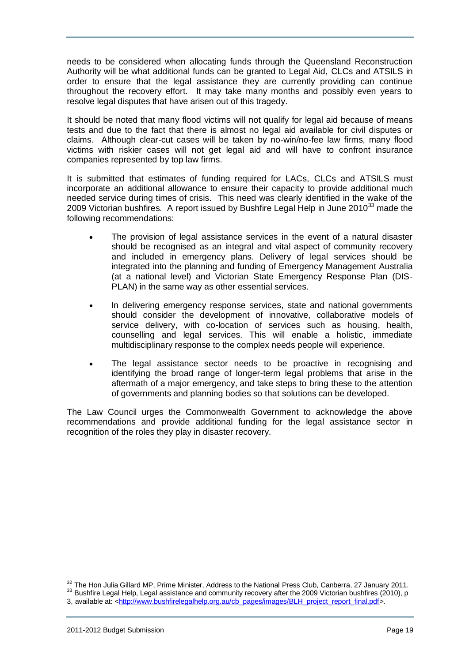needs to be considered when allocating funds through the Queensland Reconstruction Authority will be what additional funds can be granted to Legal Aid, CLCs and ATSILS in order to ensure that the legal assistance they are currently providing can continue throughout the recovery effort. It may take many months and possibly even years to resolve legal disputes that have arisen out of this tragedy.

It should be noted that many flood victims will not qualify for legal aid because of means tests and due to the fact that there is almost no legal aid available for civil disputes or claims. Although clear-cut cases will be taken by no-win/no-fee law firms, many flood victims with riskier cases will not get legal aid and will have to confront insurance companies represented by top law firms.

It is submitted that estimates of funding required for LACs, CLCs and ATSILS must incorporate an additional allowance to ensure their capacity to provide additional much needed service during times of crisis. This need was clearly identified in the wake of the 2009 Victorian bushfires. A report issued by Bushfire Legal Help in June 2010<sup>33</sup> made the following recommendations:

- The provision of legal assistance services in the event of a natural disaster should be recognised as an integral and vital aspect of community recovery and included in emergency plans. Delivery of legal services should be integrated into the planning and funding of Emergency Management Australia (at a national level) and Victorian State Emergency Response Plan (DIS-PLAN) in the same way as other essential services.
- In delivering emergency response services, state and national governments should consider the development of innovative, collaborative models of service delivery, with co-location of services such as housing, health, counselling and legal services. This will enable a holistic, immediate multidisciplinary response to the complex needs people will experience.
- The legal assistance sector needs to be proactive in recognising and identifying the broad range of longer-term legal problems that arise in the aftermath of a major emergency, and take steps to bring these to the attention of governments and planning bodies so that solutions can be developed.

The Law Council urges the Commonwealth Government to acknowledge the above recommendations and provide additional funding for the legal assistance sector in recognition of the roles they play in disaster recovery.

1

 $\frac{32}{1}$  The Hon Julia Gillard MP, Prime Minister, Address to the National Press Club, Canberra, 27 January 2011. 33 Bushfire Legal Help, Legal assistance and community recovery after the 2009 Victorian bushfires (2010), p

<sup>3,</sup> available at: [<http://www.bushfirelegalhelp.org.au/cb\\_pages/images/BLH\\_project\\_report\\_final.pdf>](http://www.bushfirelegalhelp.org.au/cb_pages/images/BLH_project_report_final.pdf).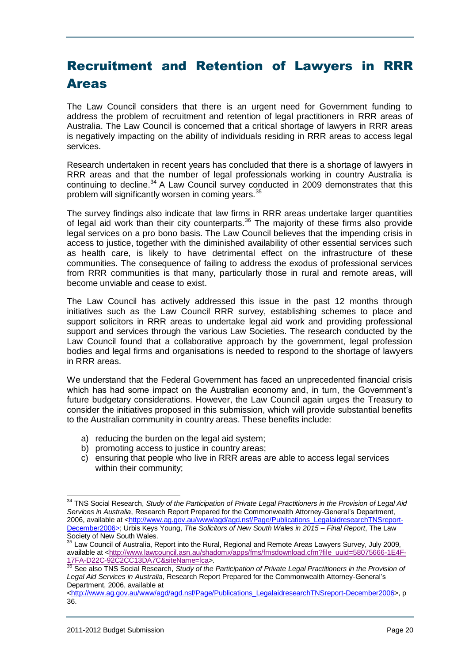# <span id="page-19-0"></span>Recruitment and Retention of Lawyers in RRR Areas

The Law Council considers that there is an urgent need for Government funding to address the problem of recruitment and retention of legal practitioners in RRR areas of Australia. The Law Council is concerned that a critical shortage of lawyers in RRR areas is negatively impacting on the ability of individuals residing in RRR areas to access legal services.

Research undertaken in recent years has concluded that there is a shortage of lawyers in RRR areas and that the number of legal professionals working in country Australia is continuing to decline.<sup>34</sup> A Law Council survey conducted in 2009 demonstrates that this problem will significantly worsen in coming years.<sup>35</sup>

The survey findings also indicate that law firms in RRR areas undertake larger quantities of legal aid work than their city counterparts.<sup>36</sup> The majority of these firms also provide legal services on a pro bono basis. The Law Council believes that the impending crisis in access to justice, together with the diminished availability of other essential services such as health care, is likely to have detrimental effect on the infrastructure of these communities. The consequence of failing to address the exodus of professional services from RRR communities is that many, particularly those in rural and remote areas, will become unviable and cease to exist.

The Law Council has actively addressed this issue in the past 12 months through initiatives such as the Law Council RRR survey, establishing schemes to place and support solicitors in RRR areas to undertake legal aid work and providing professional support and services through the various Law Societies. The research conducted by the Law Council found that a collaborative approach by the government, legal profession bodies and legal firms and organisations is needed to respond to the shortage of lawyers in RRR areas.

We understand that the Federal Government has faced an unprecedented financial crisis which has had some impact on the Australian economy and, in turn, the Government's future budgetary considerations. However, the Law Council again urges the Treasury to consider the initiatives proposed in this submission, which will provide substantial benefits to the Australian community in country areas. These benefits include:

- a) reducing the burden on the legal aid system;
- b) promoting access to justice in country areas;
- c) ensuring that people who live in RRR areas are able to access legal services within their community;

 $\overline{\phantom{a}}$ 

<sup>34</sup> TNS Social Research, *Study of the Participation of Private Legal Practitioners in the Provision of Legal Aid Services in Australia*, Research Report Prepared for the Commonwealth Attorney-General"s Department, 2006, available at [<http://www.ag.gov.au/www/agd/agd.nsf/Page/Publications\\_LegalaidresearchTNSreport-](http://www.ag.gov.au/www/agd/agd.nsf/Page/Publications_LegalaidresearchTNSreport-December2006)[December2006>](http://www.ag.gov.au/www/agd/agd.nsf/Page/Publications_LegalaidresearchTNSreport-December2006); Urbis Keys Young, *The Solicitors of New South Wales in 2015 – Final Report*, The Law Society of New South Wales.

Law Council of Australia, Report into the Rural, Regional and Remote Areas Lawyers Survey, July 2009, available at [<http://www.lawcouncil.asn.au/shadomx/apps/fms/fmsdownload.cfm?file\\_uuid=58075666-1E4F-](http://www.lawcouncil.asn.au/shadomx/apps/fms/fmsdownload.cfm?file_uuid=58075666-1E4F-17FA-D22C-92C2CC13DA7C&siteName=lca)[17FA-D22C-92C2CC13DA7C&siteName=lca>](http://www.lawcouncil.asn.au/shadomx/apps/fms/fmsdownload.cfm?file_uuid=58075666-1E4F-17FA-D22C-92C2CC13DA7C&siteName=lca).

<sup>&</sup>lt;sup>36</sup> See also TNS Social Research, *Study of the Participation of Private Legal Practitioners in the Provision of Legal Aid Services in Australia*, Research Report Prepared for the Commonwealth Attorney-General"s Department, 2006, available at

[<sup>&</sup>lt;http://www.ag.gov.au/www/agd/agd.nsf/Page/Publications\\_LegalaidresearchTNSreport-December2006>](http://www.ag.gov.au/www/agd/agd.nsf/Page/Publications_LegalaidresearchTNSreport-December2006), p 36.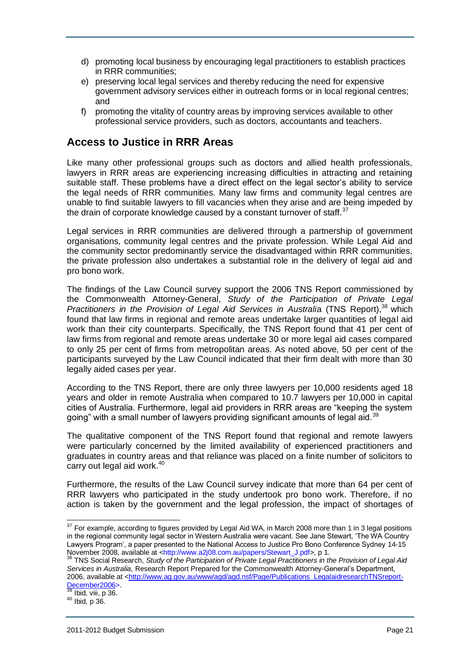- d) promoting local business by encouraging legal practitioners to establish practices in RRR communities;
- e) preserving local legal services and thereby reducing the need for expensive government advisory services either in outreach forms or in local regional centres; and
- f) promoting the vitality of country areas by improving services available to other professional service providers, such as doctors, accountants and teachers.

### <span id="page-20-0"></span>**Access to Justice in RRR Areas**

Like many other professional groups such as doctors and allied health professionals, lawyers in RRR areas are experiencing increasing difficulties in attracting and retaining suitable staff. These problems have a direct effect on the legal sector"s ability to service the legal needs of RRR communities. Many law firms and community legal centres are unable to find suitable lawyers to fill vacancies when they arise and are being impeded by the drain of corporate knowledge caused by a constant turnover of staff. $37$ 

Legal services in RRR communities are delivered through a partnership of government organisations, community legal centres and the private profession. While Legal Aid and the community sector predominantly service the disadvantaged within RRR communities, the private profession also undertakes a substantial role in the delivery of legal aid and pro bono work.

The findings of the Law Council survey support the 2006 TNS Report commissioned by the Commonwealth Attorney-General, *Study of the Participation of Private Legal*  Practitioners in the Provision of Legal Aid Services in Australia (TNS Report),<sup>38</sup> which found that law firms in regional and remote areas undertake larger quantities of legal aid work than their city counterparts. Specifically, the TNS Report found that 41 per cent of law firms from regional and remote areas undertake 30 or more legal aid cases compared to only 25 per cent of firms from metropolitan areas. As noted above, 50 per cent of the participants surveyed by the Law Council indicated that their firm dealt with more than 30 legally aided cases per year.

According to the TNS Report, there are only three lawyers per 10,000 residents aged 18 years and older in remote Australia when compared to 10.7 lawyers per 10,000 in capital cities of Australia. Furthermore, legal aid providers in RRR areas are "keeping the system going" with a small number of lawyers providing significant amounts of legal aid.<sup>39</sup>

The qualitative component of the TNS Report found that regional and remote lawyers were particularly concerned by the limited availability of experienced practitioners and graduates in country areas and that reliance was placed on a finite number of solicitors to carry out legal aid work. $40<sup>40</sup>$ 

Furthermore, the results of the Law Council survey indicate that more than 64 per cent of RRR lawyers who participated in the study undertook pro bono work. Therefore, if no action is taken by the government and the legal profession, the impact of shortages of

Ibid, viii, p 36.

 $\overline{a}$  $37$  For example, according to figures provided by Legal Aid WA, in March 2008 more than 1 in 3 legal positions in the regional community legal sector in Western Australia were vacant. See Jane Stewart, "The WA Country Lawyers Program", a paper presented to the National Access to Justice Pro Bono Conference Sydney 14-15 November 2008, available at <http://www.a2j08.com.au/papers/Stewart\_J.pdf>, p 1.

<sup>38</sup> TNS Social Research, *Study of the Participation of Private Legal Practitioners in the Provision of Legal Aid Services in Australia*, Research Report Prepared for the Commonwealth Attorney-General"s Department, 2006, available at [<http://www.ag.gov.au/www/agd/agd.nsf/Page/Publications\\_LegalaidresearchTNSreport-](http://www.ag.gov.au/www/agd/agd.nsf/Page/Publications_LegalaidresearchTNSreport-December2006)[December2006>](http://www.ag.gov.au/www/agd/agd.nsf/Page/Publications_LegalaidresearchTNSreport-December2006).

 $40$  Ibid, p 36.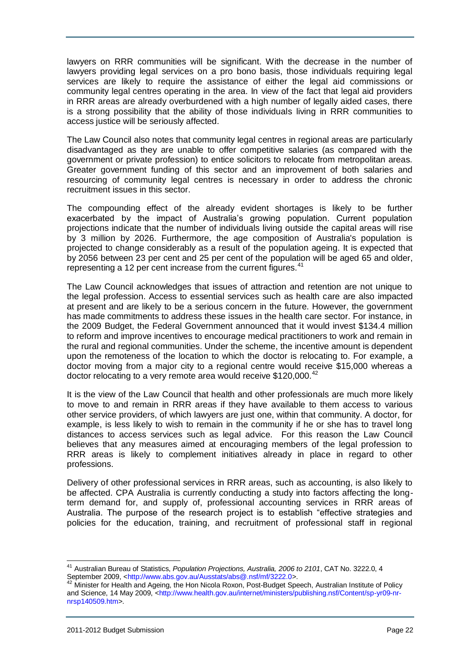lawyers on RRR communities will be significant. With the decrease in the number of lawyers providing legal services on a pro bono basis, those individuals requiring legal services are likely to require the assistance of either the legal aid commissions or community legal centres operating in the area. In view of the fact that legal aid providers in RRR areas are already overburdened with a high number of legally aided cases, there is a strong possibility that the ability of those individuals living in RRR communities to access justice will be seriously affected.

The Law Council also notes that community legal centres in regional areas are particularly disadvantaged as they are unable to offer competitive salaries (as compared with the government or private profession) to entice solicitors to relocate from metropolitan areas. Greater government funding of this sector and an improvement of both salaries and resourcing of community legal centres is necessary in order to address the chronic recruitment issues in this sector.

The compounding effect of the already evident shortages is likely to be further exacerbated by the impact of Australia"s growing population. Current population projections indicate that the number of individuals living outside the capital areas will rise by 3 million by 2026. Furthermore, the age composition of Australia's population is projected to change considerably as a result of the population ageing. It is expected that by 2056 between 23 per cent and 25 per cent of the population will be aged 65 and older, representing a 12 per cent increase from the current figures.<sup>41</sup>

The Law Council acknowledges that issues of attraction and retention are not unique to the legal profession. Access to essential services such as health care are also impacted at present and are likely to be a serious concern in the future. However, the government has made commitments to address these issues in the health care sector. For instance, in the 2009 Budget, the Federal Government announced that it would invest \$134.4 million to reform and improve incentives to encourage medical practitioners to work and remain in the rural and regional communities. Under the scheme, the incentive amount is dependent upon the remoteness of the location to which the doctor is relocating to. For example, a doctor moving from a major city to a regional centre would receive \$15,000 whereas a doctor relocating to a very remote area would receive \$120,000.<sup>42</sup>

It is the view of the Law Council that health and other professionals are much more likely to move to and remain in RRR areas if they have available to them access to various other service providers, of which lawyers are just one, within that community. A doctor, for example, is less likely to wish to remain in the community if he or she has to travel long distances to access services such as legal advice. For this reason the Law Council believes that any measures aimed at encouraging members of the legal profession to RRR areas is likely to complement initiatives already in place in regard to other professions.

Delivery of other professional services in RRR areas, such as accounting, is also likely to be affected. CPA Australia is currently conducting a study into factors affecting the longterm demand for, and supply of, professional accounting services in RRR areas of Australia. The purpose of the research project is to establish "effective strategies and policies for the education, training, and recruitment of professional staff in regional

 $\overline{\phantom{a}}$ 

<sup>41</sup> Australian Bureau of Statistics, *Population Projections, Australia, 2006 to 2101*, CAT No. 3222.0, 4 September 2009, <http://www.abs.gov.au/Ausstats/abs@.nsf/mf/3222.0>.

<sup>42</sup> Minister for Health and Ageing, the Hon Nicola Roxon, Post-Budget Speech, Australian Institute of Policy and Science, 14 May 2009, <http://www.health.gov.au/internet/ministers/publishing.nsf/Content/sp-yr09-nrnrsp140509.htm>.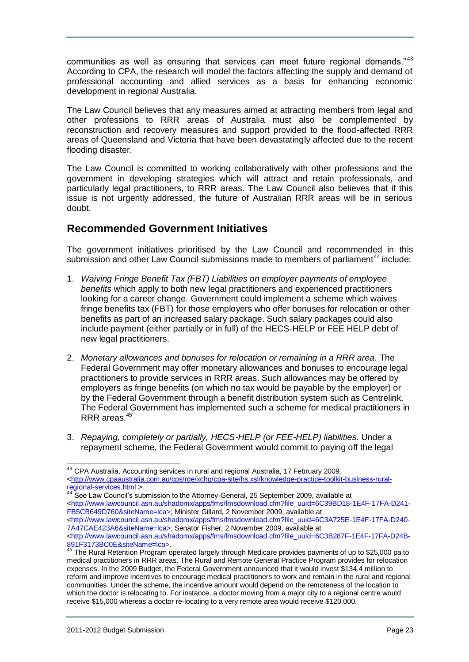communities as well as ensuring that services can meet future regional demands."<sup>43</sup> According to CPA, the research will model the factors affecting the supply and demand of professional accounting and allied services as a basis for enhancing economic development in regional Australia.

The Law Council believes that any measures aimed at attracting members from legal and other professions to RRR areas of Australia must also be complemented by reconstruction and recovery measures and support provided to the flood-affected RRR areas of Queensland and Victoria that have been devastatingly affected due to the recent flooding disaster.

The Law Council is committed to working collaboratively with other professions and the government in developing strategies which will attract and retain professionals, and particularly legal practitioners, to RRR areas. The Law Council also believes that if this issue is not urgently addressed, the future of Australian RRR areas will be in serious doubt.

### <span id="page-22-0"></span>**Recommended Government Initiatives**

The government initiatives prioritised by the Law Council and recommended in this submission and other Law Council submissions made to members of parliament<sup>44</sup> include:

- 1. *Waiving Fringe Benefit Tax (FBT) Liabilities on employer payments of employee benefits* which apply to both new legal practitioners and experienced practitioners looking for a career change*.* Government could implement a scheme which waives fringe benefits tax (FBT) for those employers who offer bonuses for relocation or other benefits as part of an increased salary package. Such salary packages could also include payment (either partially or in full) of the HECS-HELP or FEE HELP debt of new legal practitioners.
- 2. *Monetary allowances and bonuses for relocation or remaining in a RRR area.* The Federal Government may offer monetary allowances and bonuses to encourage legal practitioners to provide services in RRR areas. Such allowances may be offered by employers as fringe benefits (on which no tax would be payable by the employer) or by the Federal Government through a benefit distribution system such as Centrelink. The Federal Government has implemented such a scheme for medical practitioners in RRR areas.<sup>45</sup>
- 3. *Repaying, completely or partially, HECS-HELP (or FEE-HELP) liabilities.* Under a repayment scheme, the Federal Government would commit to paying off the legal

<sup>44</sup> See Law Council's submission to the Attorney-General, 25 September 2009, available at <http://www.lawcouncil.asn.au/shadomx/apps/fms/fmsdownload.cfm?file\_uuid=6C39BD18-1E4F-17FA-D241- FB5CB649D760&siteName=lca>; Minister Gillard, 2 November 2009, available at

  $43$  CPA Australia, Accounting services in rural and regional Australia, 17 February 2009, [<http://www.cpaaustralia.com.au/cps/rde/xchg/cpa-site/hs.xsl/knowledge-practice-toolkit-business-rural](http://www.cpaaustralia.com.au/cps/rde/xchg/cpa-site/hs.xsl/knowledge-practice-toolkit-business-rural-regional-services.html)[regional-services.html](http://www.cpaaustralia.com.au/cps/rde/xchg/cpa-site/hs.xsl/knowledge-practice-toolkit-business-rural-regional-services.html) >.

<sup>&</sup>lt;http://www.lawcouncil.asn.au/shadomx/apps/fms/fmsdownload.cfm?file\_uuid=6C3A725E-1E4F-17FA-D240- 7A47CAE423A6&siteName=lca>; Senator Fisher, 2 November 2009, available at

<sup>&</sup>lt;http://www.lawcouncil.asn.au/shadomx/apps/fms/fmsdownload.cfm?file\_uuid=6C3B287F-1E4F-17FA-D24B-891F3173BC0E&siteName=lca>.

<sup>45</sup> The Rural Retention Program operated largely through Medicare provides payments of up to \$25,000 pa to medical practitioners in RRR areas. The Rural and Remote General Practice Program provides for relocation expenses. In the 2009 Budget, the Federal Government announced that it would invest \$134.4 million to reform and improve incentives to encourage medical practitioners to work and remain in the rural and regional communities. Under the scheme, the incentive amount would depend on the remoteness of the location to which the doctor is relocating to. For instance, a doctor moving from a major city to a regional centre would receive \$15,000 whereas a doctor re-locating to a very remote area would receive \$120,000.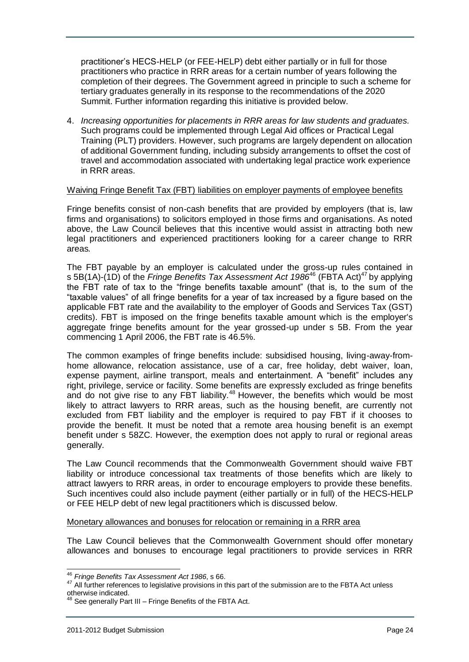practitioner"s HECS-HELP (or FEE-HELP) debt either partially or in full for those practitioners who practice in RRR areas for a certain number of years following the completion of their degrees. The Government agreed in principle to such a scheme for tertiary graduates generally in its response to the recommendations of the 2020 Summit. Further information regarding this initiative is provided below.

4. *Increasing opportunities for placements in RRR areas for law students and graduates.*  Such programs could be implemented through Legal Aid offices or Practical Legal Training (PLT) providers. However, such programs are largely dependent on allocation of additional Government funding, including subsidy arrangements to offset the cost of travel and accommodation associated with undertaking legal practice work experience in RRR areas.

#### <span id="page-23-0"></span>Waiving Fringe Benefit Tax (FBT) liabilities on employer payments of employee benefits

Fringe benefits consist of non-cash benefits that are provided by employers (that is, law firms and organisations) to solicitors employed in those firms and organisations. As noted above, the Law Council believes that this incentive would assist in attracting both new legal practitioners and experienced practitioners looking for a career change to RRR areas*.* 

The FBT payable by an employer is calculated under the gross-up rules contained in s 5B(1A)-(1D) of the *Fringe Benefits Tax Assessment Act 1986*<sup>46</sup> (FBTA Act)<sup>47</sup> by applying the FBT rate of tax to the "fringe benefits taxable amount" (that is, to the sum of the "taxable values" of all fringe benefits for a year of tax increased by a figure based on the applicable FBT rate and the availability to the employer of Goods and Services Tax (GST) credits). FBT is imposed on the fringe benefits taxable amount which is the employer's aggregate fringe benefits amount for the year grossed-up under s 5B. From the year commencing 1 April 2006, the FBT rate is 46.5%.

The common examples of fringe benefits include: subsidised housing, living-away-fromhome allowance, relocation assistance, use of a car, free holiday, debt waiver, loan, expense payment, airline transport, meals and entertainment. A "benefit" includes any right, privilege, service or facility. Some benefits are expressly excluded as fringe benefits and do not give rise to any FBT liability.<sup>48</sup> However, the benefits which would be most likely to attract lawyers to RRR areas, such as the housing benefit, are currently not excluded from FBT liability and the employer is required to pay FBT if it chooses to provide the benefit. It must be noted that a remote area housing benefit is an exempt benefit under s 58ZC. However, the exemption does not apply to rural or regional areas generally.

The Law Council recommends that the Commonwealth Government should waive FBT liability or introduce concessional tax treatments of those benefits which are likely to attract lawyers to RRR areas, in order to encourage employers to provide these benefits. Such incentives could also include payment (either partially or in full) of the HECS-HELP or FEE HELP debt of new legal practitioners which is discussed below.

#### <span id="page-23-1"></span>Monetary allowances and bonuses for relocation or remaining in a RRR area

The Law Council believes that the Commonwealth Government should offer monetary allowances and bonuses to encourage legal practitioners to provide services in RRR

j

<sup>46</sup> *Fringe Benefits Tax Assessment Act 1986*, s 66.

<sup>&</sup>lt;sup>47</sup> All further references to legislative provisions in this part of the submission are to the FBTA Act unless otherwise indicated.

See generally Part III – Fringe Benefits of the FBTA Act.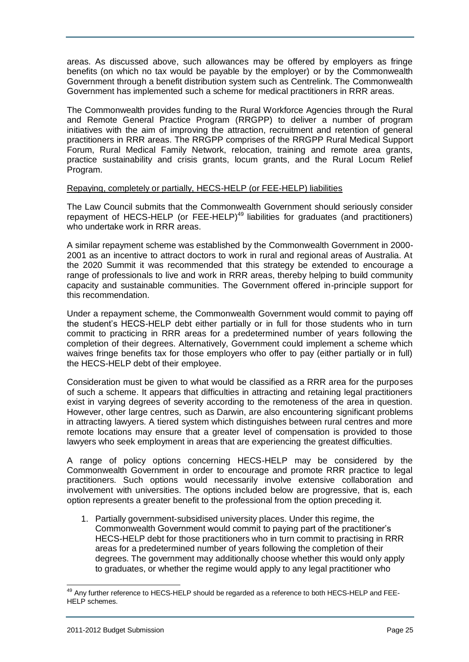areas. As discussed above, such allowances may be offered by employers as fringe benefits (on which no tax would be payable by the employer) or by the Commonwealth Government through a benefit distribution system such as Centrelink. The Commonwealth Government has implemented such a scheme for medical practitioners in RRR areas.

The Commonwealth provides funding to the Rural Workforce Agencies through the Rural and Remote General Practice Program (RRGPP) to deliver a number of program initiatives with the aim of improving the attraction, recruitment and retention of general practitioners in RRR areas. The RRGPP comprises of the RRGPP Rural Medical Support Forum, Rural Medical Family Network, relocation, training and remote area grants, practice sustainability and crisis grants, locum grants, and the Rural Locum Relief Program.

#### <span id="page-24-0"></span>Repaying, completely or partially, HECS-HELP (or FEE-HELP) liabilities

The Law Council submits that the Commonwealth Government should seriously consider repayment of HECS-HELP (or FEE-HELP)<sup>49</sup> liabilities for graduates (and practitioners) who undertake work in RRR areas.

A similar repayment scheme was established by the Commonwealth Government in 2000- 2001 as an incentive to attract doctors to work in rural and regional areas of Australia. At the 2020 Summit it was recommended that this strategy be extended to encourage a range of professionals to live and work in RRR areas, thereby helping to build community capacity and sustainable communities. The Government offered in-principle support for this recommendation.

Under a repayment scheme, the Commonwealth Government would commit to paying off the student"s HECS-HELP debt either partially or in full for those students who in turn commit to practicing in RRR areas for a predetermined number of years following the completion of their degrees. Alternatively, Government could implement a scheme which waives fringe benefits tax for those employers who offer to pay (either partially or in full) the HECS-HELP debt of their employee.

Consideration must be given to what would be classified as a RRR area for the purposes of such a scheme. It appears that difficulties in attracting and retaining legal practitioners exist in varying degrees of severity according to the remoteness of the area in question. However, other large centres, such as Darwin, are also encountering significant problems in attracting lawyers. A tiered system which distinguishes between rural centres and more remote locations may ensure that a greater level of compensation is provided to those lawyers who seek employment in areas that are experiencing the greatest difficulties.

A range of policy options concerning HECS-HELP may be considered by the Commonwealth Government in order to encourage and promote RRR practice to legal practitioners. Such options would necessarily involve extensive collaboration and involvement with universities. The options included below are progressive, that is, each option represents a greater benefit to the professional from the option preceding it.

1. Partially government-subsidised university places. Under this regime, the Commonwealth Government would commit to paying part of the practitioner"s HECS-HELP debt for those practitioners who in turn commit to practising in RRR areas for a predetermined number of years following the completion of their degrees. The government may additionally choose whether this would only apply to graduates, or whether the regime would apply to any legal practitioner who

<sup>&</sup>lt;sup>49</sup> Any further reference to HECS-HELP should be regarded as a reference to both HECS-HELP and FEE-HELP schemes.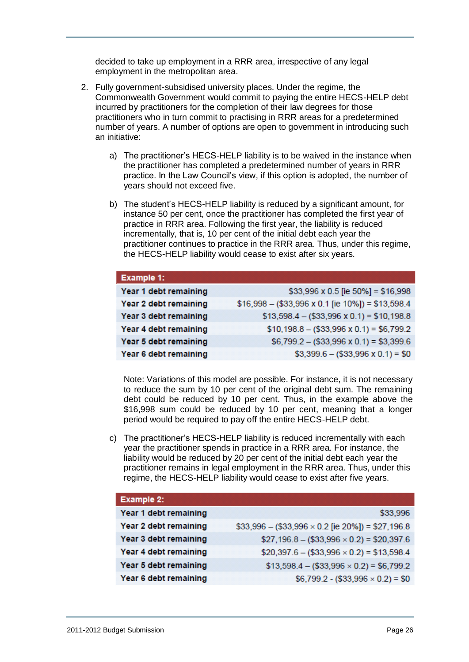decided to take up employment in a RRR area, irrespective of any legal employment in the metropolitan area.

- 2. Fully government-subsidised university places. Under the regime, the Commonwealth Government would commit to paying the entire HECS-HELP debt incurred by practitioners for the completion of their law degrees for those practitioners who in turn commit to practising in RRR areas for a predetermined number of years. A number of options are open to government in introducing such an initiative:
	- a) The practitioner"s HECS-HELP liability is to be waived in the instance when the practitioner has completed a predetermined number of years in RRR practice. In the Law Council"s view, if this option is adopted, the number of years should not exceed five.
	- b) The student"s HECS-HELP liability is reduced by a significant amount, for instance 50 per cent, once the practitioner has completed the first year of practice in RRR area. Following the first year, the liability is reduced incrementally, that is, 10 per cent of the initial debt each year the practitioner continues to practice in the RRR area. Thus, under this regime, the HECS-HELP liability would cease to exist after six years.

| Example 1:            |                                                            |
|-----------------------|------------------------------------------------------------|
| Year 1 debt remaining | \$33,996 x 0.5 [ie 50%] = \$16,998                         |
| Year 2 debt remaining | $$16,998 - ($33,996 \times 0.1$ [ie $10\%$ ]) = \$13,598.4 |
| Year 3 debt remaining | $$13,598.4 - ($33,996 \times 0.1) = $10,198.8$             |
| Year 4 debt remaining | $$10,198.8 - ($33,996 \times 0.1) = $6,799.2$              |
| Year 5 debt remaining | $$6,799.2 - ($33,996 \times 0.1) = $3,399.6$               |
| Year 6 debt remaining | $$3,399.6 - ($33,996 \times 0.1) = $0$                     |

Note: Variations of this model are possible. For instance, it is not necessary to reduce the sum by 10 per cent of the original debt sum. The remaining debt could be reduced by 10 per cent. Thus, in the example above the \$16,998 sum could be reduced by 10 per cent, meaning that a longer period would be required to pay off the entire HECS-HELP debt.

c) The practitioner"s HECS-HELP liability is reduced incrementally with each year the practitioner spends in practice in a RRR area. For instance, the liability would be reduced by 20 per cent of the initial debt each year the practitioner remains in legal employment in the RRR area. Thus, under this regime, the HECS-HELP liability would cease to exist after five years.

| Example 2:            |                                                        |
|-----------------------|--------------------------------------------------------|
| Year 1 debt remaining | \$33,996                                               |
| Year 2 debt remaining | $$33,996 - ($33,996 \times 0.2$ [ie 20%]) = \$27,196.8 |
| Year 3 debt remaining | $$27,196.8 - ($33,996 \times 0.2) = $20,397.6$         |
| Year 4 debt remaining | $$20,397.6 - ($33,996 \times 0.2) = $13,598.4$         |
| Year 5 debt remaining | $$13,598.4 - ($33,996 \times 0.2) = $6,799.2$          |
| Year 6 debt remaining | $$6,799.2 - ($33,996 \times 0.2) = $0$                 |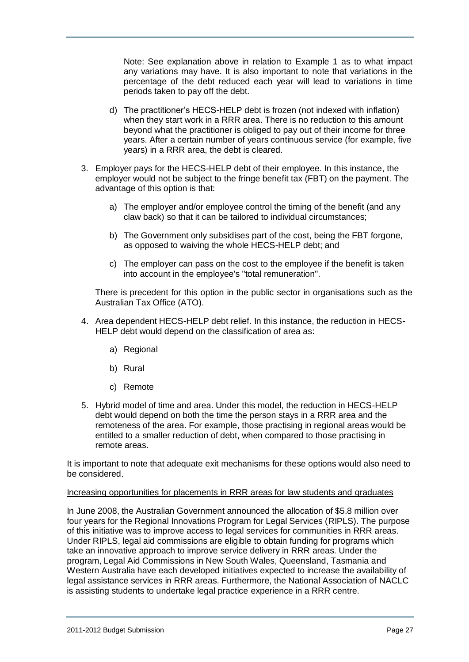Note: See explanation above in relation to Example 1 as to what impact any variations may have. It is also important to note that variations in the percentage of the debt reduced each year will lead to variations in time periods taken to pay off the debt.

- d) The practitioner"s HECS-HELP debt is frozen (not indexed with inflation) when they start work in a RRR area. There is no reduction to this amount beyond what the practitioner is obliged to pay out of their income for three years. After a certain number of years continuous service (for example, five years) in a RRR area, the debt is cleared.
- 3. Employer pays for the HECS-HELP debt of their employee. In this instance, the employer would not be subject to the fringe benefit tax (FBT) on the payment. The advantage of this option is that:
	- a) The employer and/or employee control the timing of the benefit (and any claw back) so that it can be tailored to individual circumstances;
	- b) The Government only subsidises part of the cost, being the FBT forgone, as opposed to waiving the whole HECS-HELP debt; and
	- c) The employer can pass on the cost to the employee if the benefit is taken into account in the employee's "total remuneration".

There is precedent for this option in the public sector in organisations such as the Australian Tax Office (ATO).

- 4. Area dependent HECS-HELP debt relief. In this instance, the reduction in HECS-HELP debt would depend on the classification of area as:
	- a) Regional
	- b) Rural
	- c) Remote
- 5. Hybrid model of time and area. Under this model, the reduction in HECS-HELP debt would depend on both the time the person stays in a RRR area and the remoteness of the area. For example, those practising in regional areas would be entitled to a smaller reduction of debt, when compared to those practising in remote areas.

It is important to note that adequate exit mechanisms for these options would also need to be considered.

#### <span id="page-26-0"></span>Increasing opportunities for placements in RRR areas for law students and graduates

In June 2008, the Australian Government announced the allocation of \$5.8 million over four years for the Regional Innovations Program for Legal Services (RIPLS). The purpose of this initiative was to improve access to legal services for communities in RRR areas. Under RIPLS, legal aid commissions are eligible to obtain funding for programs which take an innovative approach to improve service delivery in RRR areas. Under the program, Legal Aid Commissions in New South Wales, Queensland, Tasmania and Western Australia have each developed initiatives expected to increase the availability of legal assistance services in RRR areas. Furthermore, the National Association of NACLC is assisting students to undertake legal practice experience in a RRR centre.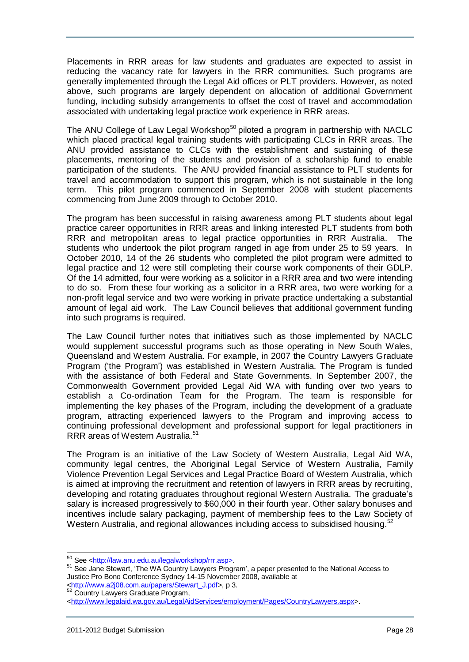Placements in RRR areas for law students and graduates are expected to assist in reducing the vacancy rate for lawyers in the RRR communities. Such programs are generally implemented through the Legal Aid offices or PLT providers. However, as noted above, such programs are largely dependent on allocation of additional Government funding, including subsidy arrangements to offset the cost of travel and accommodation associated with undertaking legal practice work experience in RRR areas.

The ANU College of Law Legal Workshop<sup>50</sup> piloted a program in partnership with NACLC which placed practical legal training students with participating CLCs in RRR areas. The ANU provided assistance to CLCs with the establishment and sustaining of these placements, mentoring of the students and provision of a scholarship fund to enable participation of the students. The ANU provided financial assistance to PLT students for travel and accommodation to support this program, which is not sustainable in the long term. This pilot program commenced in September 2008 with student placements commencing from June 2009 through to October 2010.

The program has been successful in raising awareness among PLT students about legal practice career opportunities in RRR areas and linking interested PLT students from both RRR and metropolitan areas to legal practice opportunities in RRR Australia. The students who undertook the pilot program ranged in age from under 25 to 59 years. In October 2010, 14 of the 26 students who completed the pilot program were admitted to legal practice and 12 were still completing their course work components of their GDLP. Of the 14 admitted, four were working as a solicitor in a RRR area and two were intending to do so. From these four working as a solicitor in a RRR area, two were working for a non-profit legal service and two were working in private practice undertaking a substantial amount of legal aid work. The Law Council believes that additional government funding into such programs is required.

The Law Council further notes that initiatives such as those implemented by NACLC would supplement successful programs such as those operating in New South Wales, Queensland and Western Australia. For example, in 2007 the Country Lawyers Graduate Program ("the Program") was established in Western Australia. The Program is funded with the assistance of both Federal and State Governments. In September 2007, the Commonwealth Government provided Legal Aid WA with funding over two years to establish a Co-ordination Team for the Program. The team is responsible for implementing the key phases of the Program, including the development of a graduate program, attracting experienced lawyers to the Program and improving access to continuing professional development and professional support for legal practitioners in RRR areas of Western Australia.<sup>51</sup>

The Program is an initiative of the Law Society of Western Australia, Legal Aid WA, community legal centres, the Aboriginal Legal Service of Western Australia, Family Violence Prevention Legal Services and Legal Practice Board of Western Australia, which is aimed at improving the recruitment and retention of lawyers in RRR areas by recruiting, developing and rotating graduates throughout regional Western Australia. The graduate"s salary is increased progressively to \$60,000 in their fourth year. Other salary bonuses and incentives include salary packaging, payment of membership fees to the Law Society of Western Australia, and regional allowances including access to subsidised housing.<sup>52</sup>

 $\overline{a}$ 

<sup>50</sup> See <http://law.anu.edu.au/legalworkshop/rrr.asp>.

<sup>&</sup>lt;sup>51</sup> See Jane Stewart, 'The WA Country Lawyers Program', a paper presented to the National Access to Justice Pro Bono Conference Sydney 14-15 November 2008, available at

<sup>&</sup>lt;http://www.a2j08.com.au/papers/Stewart\_J.pdf>, p 3. <sup>52</sup> Country Lawyers Graduate Program,

[<sup>&</sup>lt;http://www.legalaid.wa.gov.au/LegalAidServices/employment/Pages/CountryLawyers.aspx>](http://www.legalaid.wa.gov.au/LegalAidServices/employment/Pages/CountryLawyers.aspx).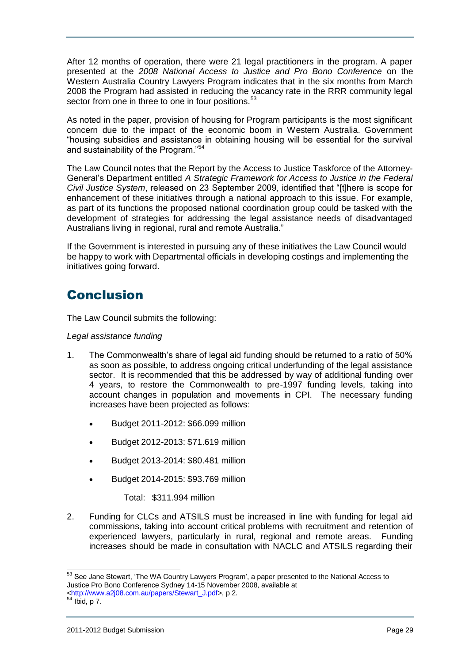After 12 months of operation, there were 21 legal practitioners in the program. A paper presented at the *2008 National Access to Justice and Pro Bono Conference* on the Western Australia Country Lawyers Program indicates that in the six months from March 2008 the Program had assisted in reducing the vacancy rate in the RRR community legal sector from one in three to one in four positions.<sup>53</sup>

As noted in the paper, provision of housing for Program participants is the most significant concern due to the impact of the economic boom in Western Australia. Government "housing subsidies and assistance in obtaining housing will be essential for the survival and sustainability of the Program."<sup>54</sup>

The Law Council notes that the Report by the Access to Justice Taskforce of the Attorney-General"s Department entitled *A Strategic Framework for Access to Justice in the Federal Civil Justice System*, released on 23 September 2009, identified that "[t]here is scope for enhancement of these initiatives through a national approach to this issue. For example, as part of its functions the proposed national coordination group could be tasked with the development of strategies for addressing the legal assistance needs of disadvantaged Australians living in regional, rural and remote Australia."

If the Government is interested in pursuing any of these initiatives the Law Council would be happy to work with Departmental officials in developing costings and implementing the initiatives going forward.

# <span id="page-28-0"></span>Conclusion

The Law Council submits the following:

#### *Legal assistance funding*

- 1. The Commonwealth"s share of legal aid funding should be returned to a ratio of 50% as soon as possible, to address ongoing critical underfunding of the legal assistance sector. It is recommended that this be addressed by way of additional funding over 4 years, to restore the Commonwealth to pre-1997 funding levels, taking into account changes in population and movements in CPI. The necessary funding increases have been projected as follows:
	- Budget 2011-2012: \$66.099 million
	- Budget 2012-2013: \$71.619 million
	- Budget 2013-2014: \$80.481 million
	- Budget 2014-2015: \$93.769 million

Total: \$311.994 million

2. Funding for CLCs and ATSILS must be increased in line with funding for legal aid commissions, taking into account critical problems with recruitment and retention of experienced lawyers, particularly in rural, regional and remote areas. Funding increases should be made in consultation with NACLC and ATSILS regarding their

l <sup>53</sup> See Jane Stewart, 'The WA Country Lawyers Program', a paper presented to the National Access to Justice Pro Bono Conference Sydney 14-15 November 2008, available at

<sup>&</sup>lt;http://www.a2j08.com.au/papers/Stewart\_J.pdf>, p 2.

 $54$  Ibid, p 7.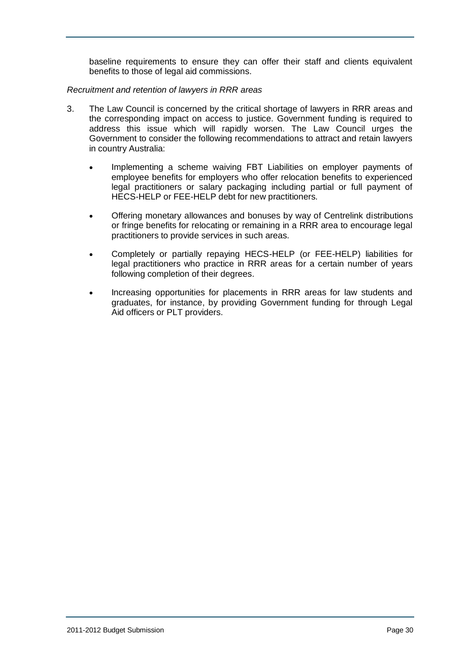baseline requirements to ensure they can offer their staff and clients equivalent benefits to those of legal aid commissions.

#### *Recruitment and retention of lawyers in RRR areas*

- 3. The Law Council is concerned by the critical shortage of lawyers in RRR areas and the corresponding impact on access to justice. Government funding is required to address this issue which will rapidly worsen. The Law Council urges the Government to consider the following recommendations to attract and retain lawyers in country Australia:
	- Implementing a scheme waiving FBT Liabilities on employer payments of employee benefits for employers who offer relocation benefits to experienced legal practitioners or salary packaging including partial or full payment of HECS-HELP or FEE-HELP debt for new practitioners.
	- Offering monetary allowances and bonuses by way of Centrelink distributions or fringe benefits for relocating or remaining in a RRR area to encourage legal practitioners to provide services in such areas.
	- Completely or partially repaying HECS-HELP (or FEE-HELP) liabilities for legal practitioners who practice in RRR areas for a certain number of years following completion of their degrees.
	- Increasing opportunities for placements in RRR areas for law students and graduates, for instance, by providing Government funding for through Legal Aid officers or PLT providers.